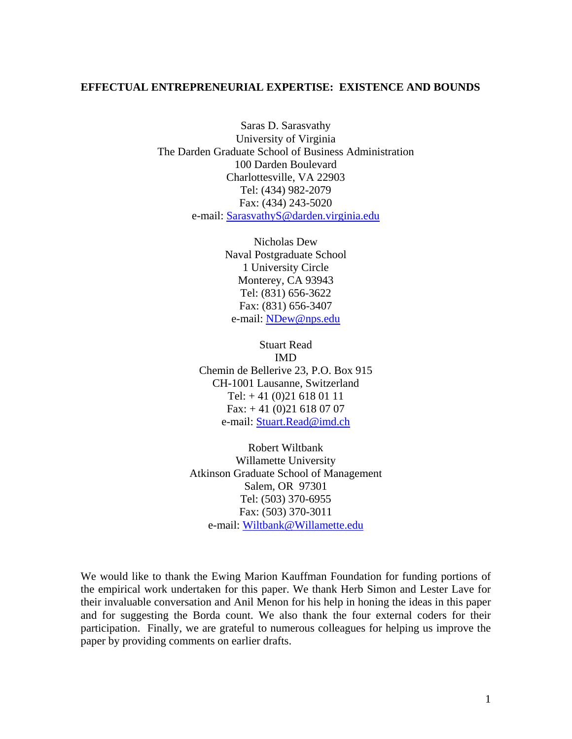### **EFFECTUAL ENTREPRENEURIAL EXPERTISE: EXISTENCE AND BOUNDS**

Saras D. Sarasvathy University of Virginia The Darden Graduate School of Business Administration 100 Darden Boulevard Charlottesville, VA 22903 Tel: (434) 982-2079 Fax: (434) 243-5020 e-mail: SarasvathyS@darden.virginia.edu

> Nicholas Dew Naval Postgraduate School 1 University Circle Monterey, CA 93943 Tel: (831) 656-3622 Fax: (831) 656-3407 e-mail: NDew@nps.edu

Stuart Read IMD Chemin de Bellerive 23, P.O. Box 915 CH-1001 Lausanne, Switzerland Tel: + 41 (0)21 618 01 11 Fax:  $+41$  (0)21 618 07 07 e-mail: Stuart.Read@imd.ch

Robert Wiltbank Willamette University Atkinson Graduate School of Management Salem, OR 97301 Tel: (503) 370-6955 Fax: (503) 370-3011 e-mail: Wiltbank@Willamette.edu

We would like to thank the Ewing Marion Kauffman Foundation for funding portions of the empirical work undertaken for this paper. We thank Herb Simon and Lester Lave for their invaluable conversation and Anil Menon for his help in honing the ideas in this paper and for suggesting the Borda count. We also thank the four external coders for their participation. Finally, we are grateful to numerous colleagues for helping us improve the paper by providing comments on earlier drafts.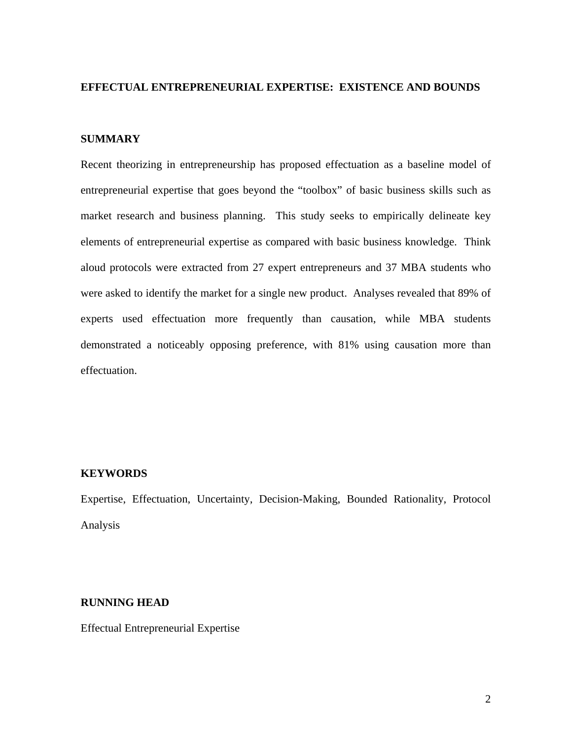## **EFFECTUAL ENTREPRENEURIAL EXPERTISE: EXISTENCE AND BOUNDS**

## **SUMMARY**

Recent theorizing in entrepreneurship has proposed effectuation as a baseline model of entrepreneurial expertise that goes beyond the "toolbox" of basic business skills such as market research and business planning. This study seeks to empirically delineate key elements of entrepreneurial expertise as compared with basic business knowledge. Think aloud protocols were extracted from 27 expert entrepreneurs and 37 MBA students who were asked to identify the market for a single new product. Analyses revealed that 89% of experts used effectuation more frequently than causation, while MBA students demonstrated a noticeably opposing preference, with 81% using causation more than effectuation.

#### **KEYWORDS**

Expertise, Effectuation, Uncertainty, Decision-Making, Bounded Rationality, Protocol Analysis

## **RUNNING HEAD**

Effectual Entrepreneurial Expertise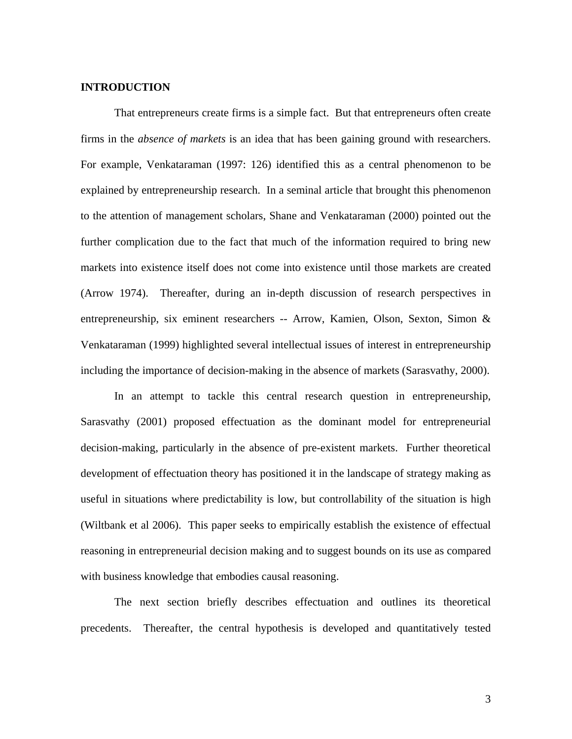## **INTRODUCTION**

That entrepreneurs create firms is a simple fact. But that entrepreneurs often create firms in the *absence of markets* is an idea that has been gaining ground with researchers. For example, Venkataraman (1997: 126) identified this as a central phenomenon to be explained by entrepreneurship research. In a seminal article that brought this phenomenon to the attention of management scholars, Shane and Venkataraman (2000) pointed out the further complication due to the fact that much of the information required to bring new markets into existence itself does not come into existence until those markets are created (Arrow 1974). Thereafter, during an in-depth discussion of research perspectives in entrepreneurship, six eminent researchers -- Arrow, Kamien, Olson, Sexton, Simon & Venkataraman (1999) highlighted several intellectual issues of interest in entrepreneurship including the importance of decision-making in the absence of markets (Sarasvathy, 2000).

In an attempt to tackle this central research question in entrepreneurship, Sarasvathy (2001) proposed effectuation as the dominant model for entrepreneurial decision-making, particularly in the absence of pre-existent markets. Further theoretical development of effectuation theory has positioned it in the landscape of strategy making as useful in situations where predictability is low, but controllability of the situation is high (Wiltbank et al 2006). This paper seeks to empirically establish the existence of effectual reasoning in entrepreneurial decision making and to suggest bounds on its use as compared with business knowledge that embodies causal reasoning.

The next section briefly describes effectuation and outlines its theoretical precedents. Thereafter, the central hypothesis is developed and quantitatively tested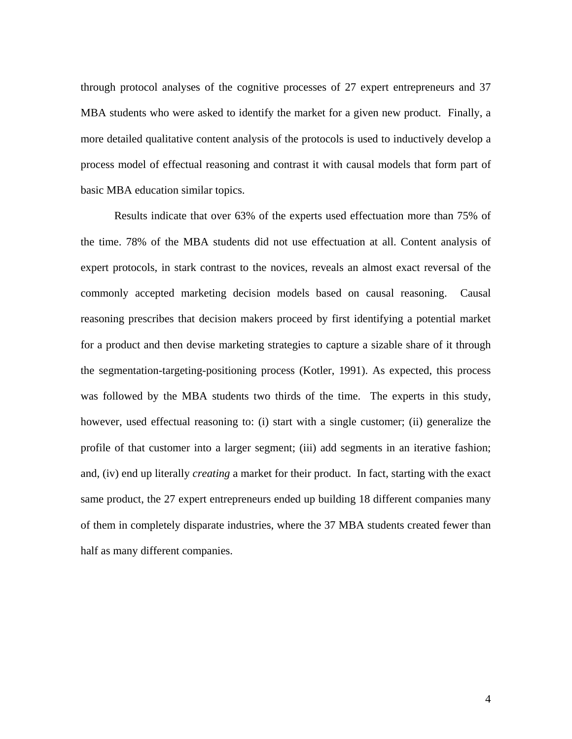through protocol analyses of the cognitive processes of 27 expert entrepreneurs and 37 MBA students who were asked to identify the market for a given new product. Finally, a more detailed qualitative content analysis of the protocols is used to inductively develop a process model of effectual reasoning and contrast it with causal models that form part of basic MBA education similar topics.

Results indicate that over 63% of the experts used effectuation more than 75% of the time. 78% of the MBA students did not use effectuation at all. Content analysis of expert protocols, in stark contrast to the novices, reveals an almost exact reversal of the commonly accepted marketing decision models based on causal reasoning. Causal reasoning prescribes that decision makers proceed by first identifying a potential market for a product and then devise marketing strategies to capture a sizable share of it through the segmentation-targeting-positioning process (Kotler, 1991). As expected, this process was followed by the MBA students two thirds of the time. The experts in this study, however, used effectual reasoning to: (i) start with a single customer; (ii) generalize the profile of that customer into a larger segment; (iii) add segments in an iterative fashion; and, (iv) end up literally *creating* a market for their product. In fact, starting with the exact same product, the 27 expert entrepreneurs ended up building 18 different companies many of them in completely disparate industries, where the 37 MBA students created fewer than half as many different companies.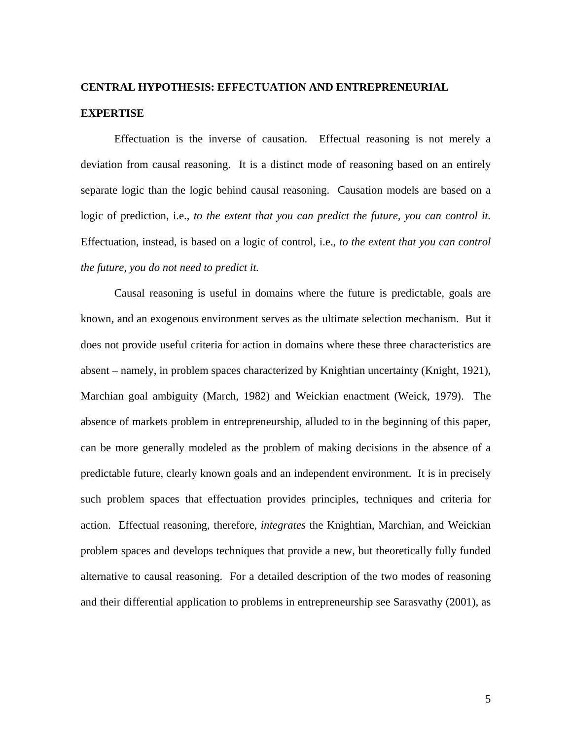# **CENTRAL HYPOTHESIS: EFFECTUATION AND ENTREPRENEURIAL EXPERTISE**

Effectuation is the inverse of causation. Effectual reasoning is not merely a deviation from causal reasoning. It is a distinct mode of reasoning based on an entirely separate logic than the logic behind causal reasoning. Causation models are based on a logic of prediction, i.e., *to the extent that you can predict the future, you can control it.* Effectuation, instead, is based on a logic of control, i.e., *to the extent that you can control the future, you do not need to predict it.*

Causal reasoning is useful in domains where the future is predictable, goals are known, and an exogenous environment serves as the ultimate selection mechanism. But it does not provide useful criteria for action in domains where these three characteristics are absent – namely, in problem spaces characterized by Knightian uncertainty (Knight, 1921), Marchian goal ambiguity (March, 1982) and Weickian enactment (Weick, 1979). The absence of markets problem in entrepreneurship, alluded to in the beginning of this paper, can be more generally modeled as the problem of making decisions in the absence of a predictable future, clearly known goals and an independent environment. It is in precisely such problem spaces that effectuation provides principles, techniques and criteria for action. Effectual reasoning, therefore, *integrates* the Knightian, Marchian, and Weickian problem spaces and develops techniques that provide a new, but theoretically fully funded alternative to causal reasoning. For a detailed description of the two modes of reasoning and their differential application to problems in entrepreneurship see Sarasvathy (2001), as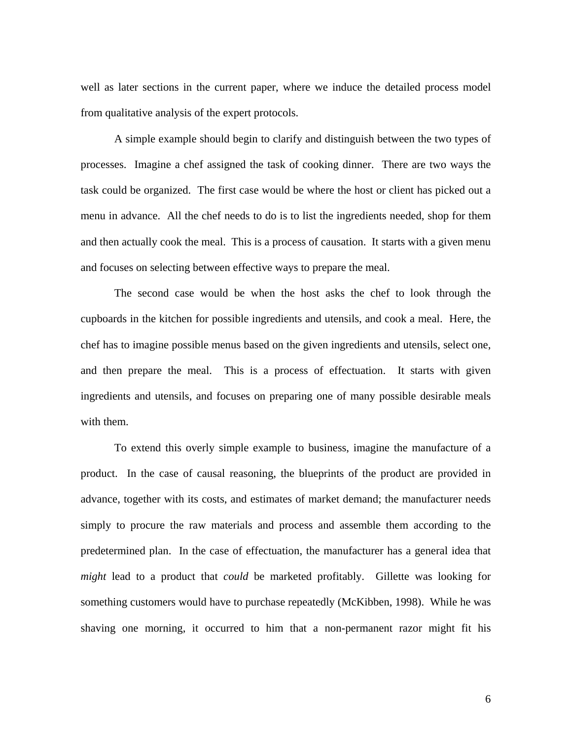well as later sections in the current paper, where we induce the detailed process model from qualitative analysis of the expert protocols.

A simple example should begin to clarify and distinguish between the two types of processes. Imagine a chef assigned the task of cooking dinner. There are two ways the task could be organized. The first case would be where the host or client has picked out a menu in advance. All the chef needs to do is to list the ingredients needed, shop for them and then actually cook the meal. This is a process of causation. It starts with a given menu and focuses on selecting between effective ways to prepare the meal.

The second case would be when the host asks the chef to look through the cupboards in the kitchen for possible ingredients and utensils, and cook a meal. Here, the chef has to imagine possible menus based on the given ingredients and utensils, select one, and then prepare the meal. This is a process of effectuation. It starts with given ingredients and utensils, and focuses on preparing one of many possible desirable meals with them.

To extend this overly simple example to business, imagine the manufacture of a product. In the case of causal reasoning, the blueprints of the product are provided in advance, together with its costs, and estimates of market demand; the manufacturer needs simply to procure the raw materials and process and assemble them according to the predetermined plan. In the case of effectuation, the manufacturer has a general idea that *might* lead to a product that *could* be marketed profitably. Gillette was looking for something customers would have to purchase repeatedly (McKibben, 1998). While he was shaving one morning, it occurred to him that a non-permanent razor might fit his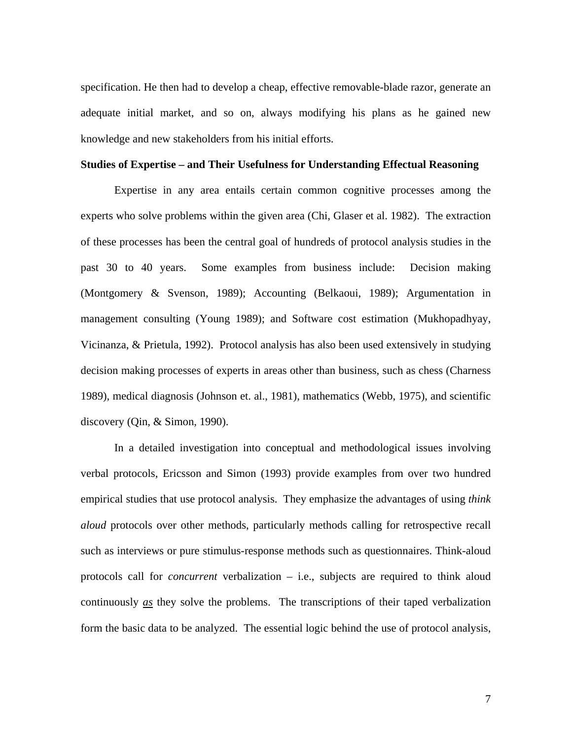specification. He then had to develop a cheap, effective removable-blade razor, generate an adequate initial market, and so on, always modifying his plans as he gained new knowledge and new stakeholders from his initial efforts.

#### **Studies of Expertise – and Their Usefulness for Understanding Effectual Reasoning**

Expertise in any area entails certain common cognitive processes among the experts who solve problems within the given area (Chi, Glaser et al. 1982). The extraction of these processes has been the central goal of hundreds of protocol analysis studies in the past 30 to 40 years. Some examples from business include: Decision making (Montgomery & Svenson, 1989); Accounting (Belkaoui, 1989); Argumentation in management consulting (Young 1989); and Software cost estimation (Mukhopadhyay, Vicinanza, & Prietula, 1992). Protocol analysis has also been used extensively in studying decision making processes of experts in areas other than business, such as chess (Charness 1989), medical diagnosis (Johnson et. al., 1981), mathematics (Webb, 1975), and scientific discovery (Qin, & Simon, 1990).

In a detailed investigation into conceptual and methodological issues involving verbal protocols, Ericsson and Simon (1993) provide examples from over two hundred empirical studies that use protocol analysis. They emphasize the advantages of using *think aloud* protocols over other methods, particularly methods calling for retrospective recall such as interviews or pure stimulus-response methods such as questionnaires. Think-aloud protocols call for *concurrent* verbalization – i.e., subjects are required to think aloud continuously *as* they solve the problems. The transcriptions of their taped verbalization form the basic data to be analyzed. The essential logic behind the use of protocol analysis,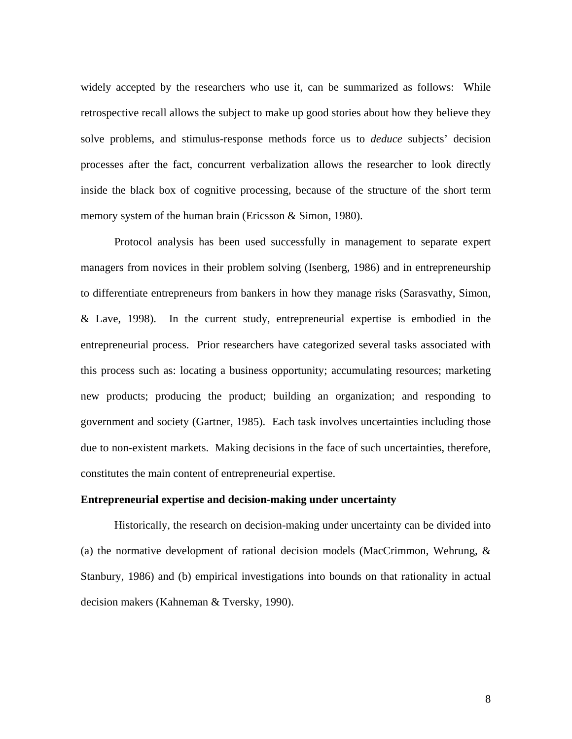widely accepted by the researchers who use it, can be summarized as follows: While retrospective recall allows the subject to make up good stories about how they believe they solve problems, and stimulus-response methods force us to *deduce* subjects' decision processes after the fact, concurrent verbalization allows the researcher to look directly inside the black box of cognitive processing, because of the structure of the short term memory system of the human brain (Ericsson & Simon, 1980).

Protocol analysis has been used successfully in management to separate expert managers from novices in their problem solving (Isenberg, 1986) and in entrepreneurship to differentiate entrepreneurs from bankers in how they manage risks (Sarasvathy, Simon, & Lave, 1998). In the current study, entrepreneurial expertise is embodied in the entrepreneurial process. Prior researchers have categorized several tasks associated with this process such as: locating a business opportunity; accumulating resources; marketing new products; producing the product; building an organization; and responding to government and society (Gartner, 1985). Each task involves uncertainties including those due to non-existent markets. Making decisions in the face of such uncertainties, therefore, constitutes the main content of entrepreneurial expertise.

## **Entrepreneurial expertise and decision-making under uncertainty**

Historically, the research on decision-making under uncertainty can be divided into (a) the normative development of rational decision models (MacCrimmon, Wehrung, & Stanbury, 1986) and (b) empirical investigations into bounds on that rationality in actual decision makers (Kahneman & Tversky, 1990).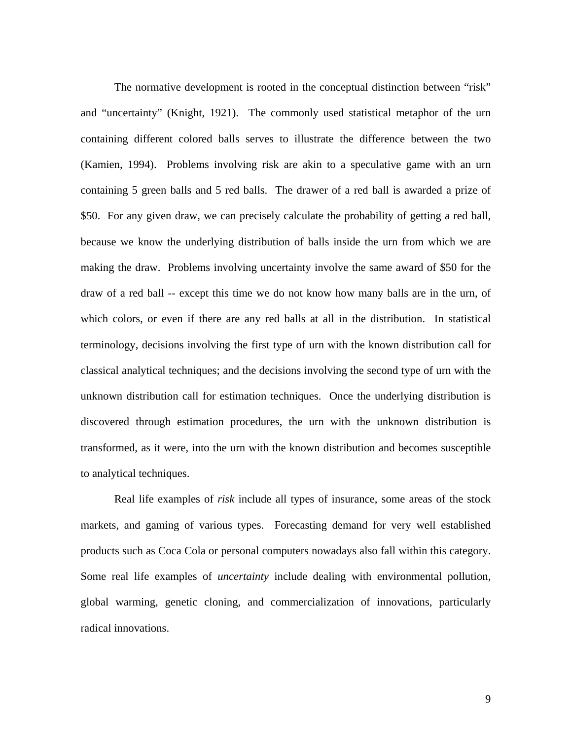The normative development is rooted in the conceptual distinction between "risk" and "uncertainty" (Knight, 1921). The commonly used statistical metaphor of the urn containing different colored balls serves to illustrate the difference between the two (Kamien, 1994). Problems involving risk are akin to a speculative game with an urn containing 5 green balls and 5 red balls. The drawer of a red ball is awarded a prize of \$50. For any given draw, we can precisely calculate the probability of getting a red ball, because we know the underlying distribution of balls inside the urn from which we are making the draw. Problems involving uncertainty involve the same award of \$50 for the draw of a red ball -- except this time we do not know how many balls are in the urn, of which colors, or even if there are any red balls at all in the distribution. In statistical terminology, decisions involving the first type of urn with the known distribution call for classical analytical techniques; and the decisions involving the second type of urn with the unknown distribution call for estimation techniques. Once the underlying distribution is discovered through estimation procedures, the urn with the unknown distribution is transformed, as it were, into the urn with the known distribution and becomes susceptible to analytical techniques.

Real life examples of *risk* include all types of insurance, some areas of the stock markets, and gaming of various types. Forecasting demand for very well established products such as Coca Cola or personal computers nowadays also fall within this category. Some real life examples of *uncertainty* include dealing with environmental pollution, global warming, genetic cloning, and commercialization of innovations, particularly radical innovations.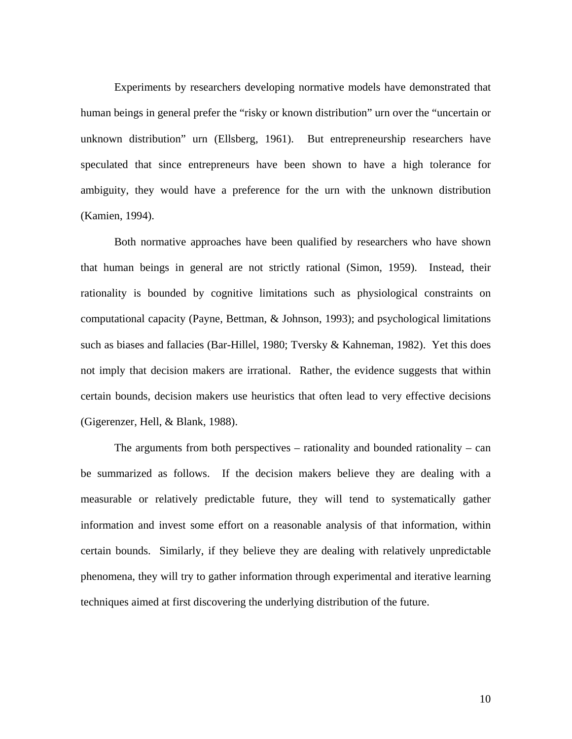Experiments by researchers developing normative models have demonstrated that human beings in general prefer the "risky or known distribution" urn over the "uncertain or unknown distribution" urn (Ellsberg, 1961). But entrepreneurship researchers have speculated that since entrepreneurs have been shown to have a high tolerance for ambiguity, they would have a preference for the urn with the unknown distribution (Kamien, 1994).

Both normative approaches have been qualified by researchers who have shown that human beings in general are not strictly rational (Simon, 1959). Instead, their rationality is bounded by cognitive limitations such as physiological constraints on computational capacity (Payne, Bettman, & Johnson, 1993); and psychological limitations such as biases and fallacies (Bar-Hillel, 1980; Tversky & Kahneman, 1982). Yet this does not imply that decision makers are irrational. Rather, the evidence suggests that within certain bounds, decision makers use heuristics that often lead to very effective decisions (Gigerenzer, Hell, & Blank, 1988).

The arguments from both perspectives  $-$  rationality and bounded rationality  $-$  can be summarized as follows. If the decision makers believe they are dealing with a measurable or relatively predictable future, they will tend to systematically gather information and invest some effort on a reasonable analysis of that information, within certain bounds. Similarly, if they believe they are dealing with relatively unpredictable phenomena, they will try to gather information through experimental and iterative learning techniques aimed at first discovering the underlying distribution of the future.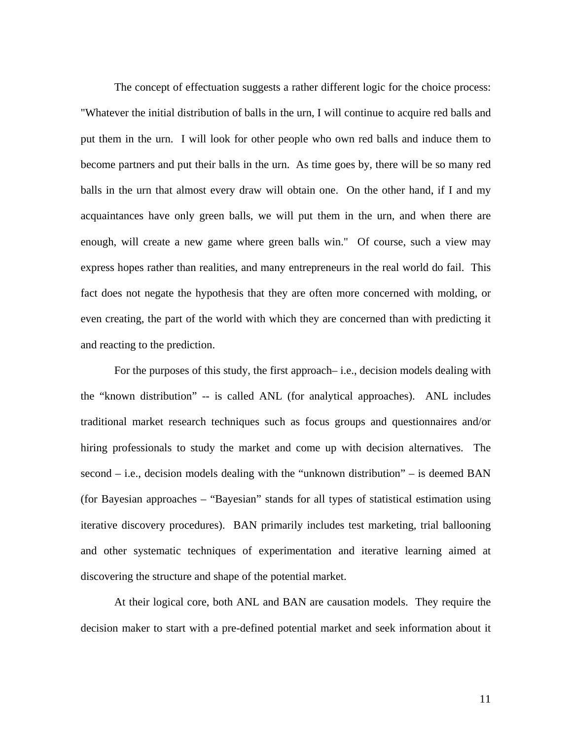The concept of effectuation suggests a rather different logic for the choice process: "Whatever the initial distribution of balls in the urn, I will continue to acquire red balls and put them in the urn. I will look for other people who own red balls and induce them to become partners and put their balls in the urn. As time goes by, there will be so many red balls in the urn that almost every draw will obtain one. On the other hand, if I and my acquaintances have only green balls, we will put them in the urn, and when there are enough, will create a new game where green balls win." Of course, such a view may express hopes rather than realities, and many entrepreneurs in the real world do fail. This fact does not negate the hypothesis that they are often more concerned with molding, or even creating, the part of the world with which they are concerned than with predicting it and reacting to the prediction.

For the purposes of this study, the first approach– i.e., decision models dealing with the "known distribution" -- is called ANL (for analytical approaches). ANL includes traditional market research techniques such as focus groups and questionnaires and/or hiring professionals to study the market and come up with decision alternatives. The second – i.e., decision models dealing with the "unknown distribution" – is deemed BAN (for Bayesian approaches – "Bayesian" stands for all types of statistical estimation using iterative discovery procedures). BAN primarily includes test marketing, trial ballooning and other systematic techniques of experimentation and iterative learning aimed at discovering the structure and shape of the potential market.

At their logical core, both ANL and BAN are causation models. They require the decision maker to start with a pre-defined potential market and seek information about it

11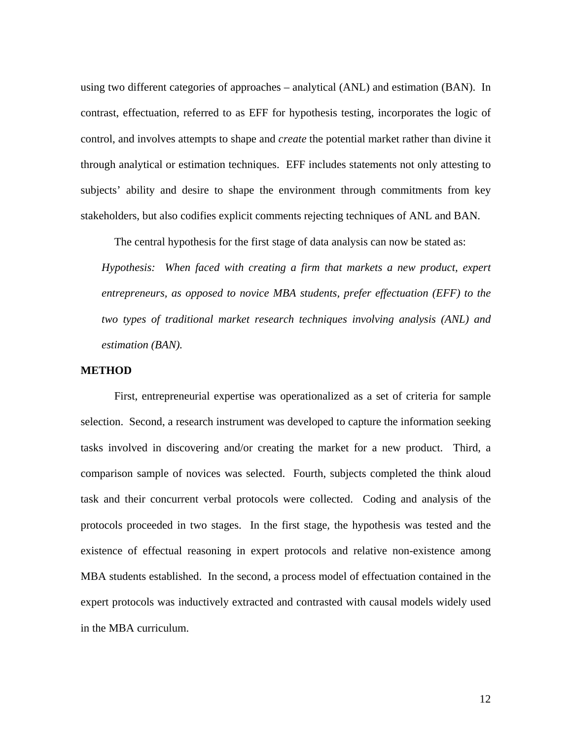using two different categories of approaches – analytical (ANL) and estimation (BAN). In contrast, effectuation, referred to as EFF for hypothesis testing, incorporates the logic of control, and involves attempts to shape and *create* the potential market rather than divine it through analytical or estimation techniques. EFF includes statements not only attesting to subjects' ability and desire to shape the environment through commitments from key stakeholders, but also codifies explicit comments rejecting techniques of ANL and BAN.

The central hypothesis for the first stage of data analysis can now be stated as:

*Hypothesis: When faced with creating a firm that markets a new product, expert entrepreneurs, as opposed to novice MBA students, prefer effectuation (EFF) to the two types of traditional market research techniques involving analysis (ANL) and estimation (BAN).*

#### **METHOD**

First, entrepreneurial expertise was operationalized as a set of criteria for sample selection. Second, a research instrument was developed to capture the information seeking tasks involved in discovering and/or creating the market for a new product. Third, a comparison sample of novices was selected. Fourth, subjects completed the think aloud task and their concurrent verbal protocols were collected. Coding and analysis of the protocols proceeded in two stages. In the first stage, the hypothesis was tested and the existence of effectual reasoning in expert protocols and relative non-existence among MBA students established. In the second, a process model of effectuation contained in the expert protocols was inductively extracted and contrasted with causal models widely used in the MBA curriculum.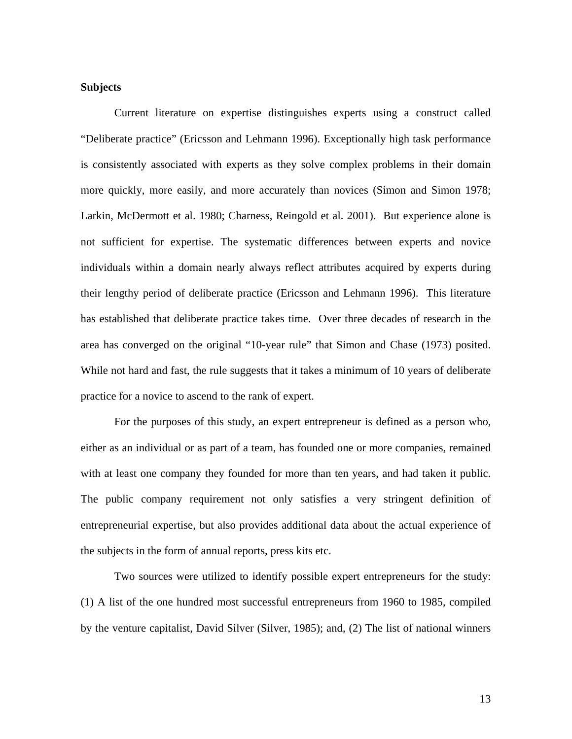## **Subjects**

Current literature on expertise distinguishes experts using a construct called "Deliberate practice" (Ericsson and Lehmann 1996). Exceptionally high task performance is consistently associated with experts as they solve complex problems in their domain more quickly, more easily, and more accurately than novices (Simon and Simon 1978; Larkin, McDermott et al. 1980; Charness, Reingold et al. 2001). But experience alone is not sufficient for expertise. The systematic differences between experts and novice individuals within a domain nearly always reflect attributes acquired by experts during their lengthy period of deliberate practice (Ericsson and Lehmann 1996). This literature has established that deliberate practice takes time. Over three decades of research in the area has converged on the original "10-year rule" that Simon and Chase (1973) posited. While not hard and fast, the rule suggests that it takes a minimum of 10 years of deliberate practice for a novice to ascend to the rank of expert.

For the purposes of this study, an expert entrepreneur is defined as a person who, either as an individual or as part of a team, has founded one or more companies, remained with at least one company they founded for more than ten years, and had taken it public. The public company requirement not only satisfies a very stringent definition of entrepreneurial expertise, but also provides additional data about the actual experience of the subjects in the form of annual reports, press kits etc.

Two sources were utilized to identify possible expert entrepreneurs for the study: (1) A list of the one hundred most successful entrepreneurs from 1960 to 1985, compiled by the venture capitalist, David Silver (Silver, 1985); and, (2) The list of national winners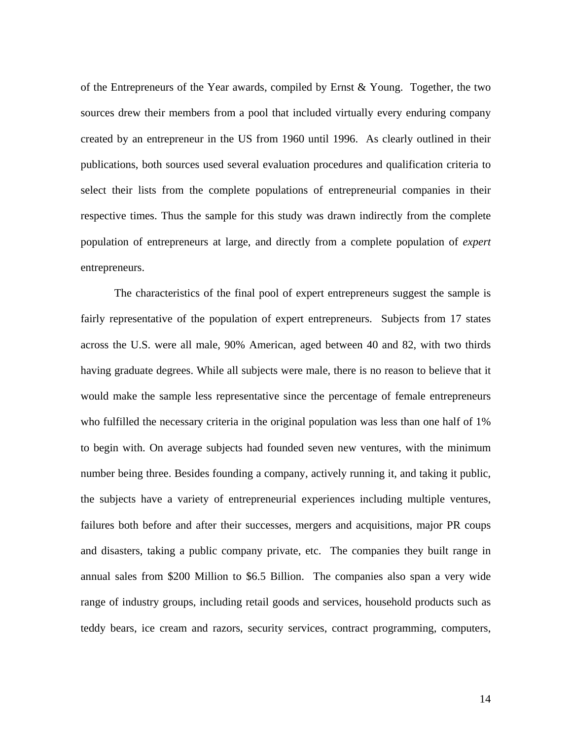of the Entrepreneurs of the Year awards, compiled by Ernst & Young. Together, the two sources drew their members from a pool that included virtually every enduring company created by an entrepreneur in the US from 1960 until 1996. As clearly outlined in their publications, both sources used several evaluation procedures and qualification criteria to select their lists from the complete populations of entrepreneurial companies in their respective times. Thus the sample for this study was drawn indirectly from the complete population of entrepreneurs at large, and directly from a complete population of *expert*  entrepreneurs.

The characteristics of the final pool of expert entrepreneurs suggest the sample is fairly representative of the population of expert entrepreneurs. Subjects from 17 states across the U.S. were all male, 90% American, aged between 40 and 82, with two thirds having graduate degrees. While all subjects were male, there is no reason to believe that it would make the sample less representative since the percentage of female entrepreneurs who fulfilled the necessary criteria in the original population was less than one half of 1% to begin with. On average subjects had founded seven new ventures, with the minimum number being three. Besides founding a company, actively running it, and taking it public, the subjects have a variety of entrepreneurial experiences including multiple ventures, failures both before and after their successes, mergers and acquisitions, major PR coups and disasters, taking a public company private, etc. The companies they built range in annual sales from \$200 Million to \$6.5 Billion. The companies also span a very wide range of industry groups, including retail goods and services, household products such as teddy bears, ice cream and razors, security services, contract programming, computers,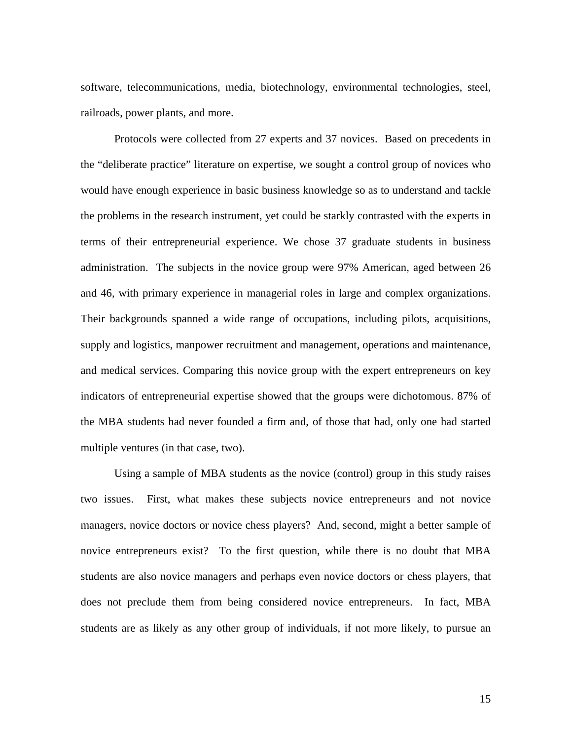software, telecommunications, media, biotechnology, environmental technologies, steel, railroads, power plants, and more.

Protocols were collected from 27 experts and 37 novices. Based on precedents in the "deliberate practice" literature on expertise, we sought a control group of novices who would have enough experience in basic business knowledge so as to understand and tackle the problems in the research instrument, yet could be starkly contrasted with the experts in terms of their entrepreneurial experience. We chose 37 graduate students in business administration. The subjects in the novice group were 97% American, aged between 26 and 46, with primary experience in managerial roles in large and complex organizations. Their backgrounds spanned a wide range of occupations, including pilots, acquisitions, supply and logistics, manpower recruitment and management, operations and maintenance, and medical services. Comparing this novice group with the expert entrepreneurs on key indicators of entrepreneurial expertise showed that the groups were dichotomous. 87% of the MBA students had never founded a firm and, of those that had, only one had started multiple ventures (in that case, two).

Using a sample of MBA students as the novice (control) group in this study raises two issues. First, what makes these subjects novice entrepreneurs and not novice managers, novice doctors or novice chess players? And, second, might a better sample of novice entrepreneurs exist? To the first question, while there is no doubt that MBA students are also novice managers and perhaps even novice doctors or chess players, that does not preclude them from being considered novice entrepreneurs. In fact, MBA students are as likely as any other group of individuals, if not more likely, to pursue an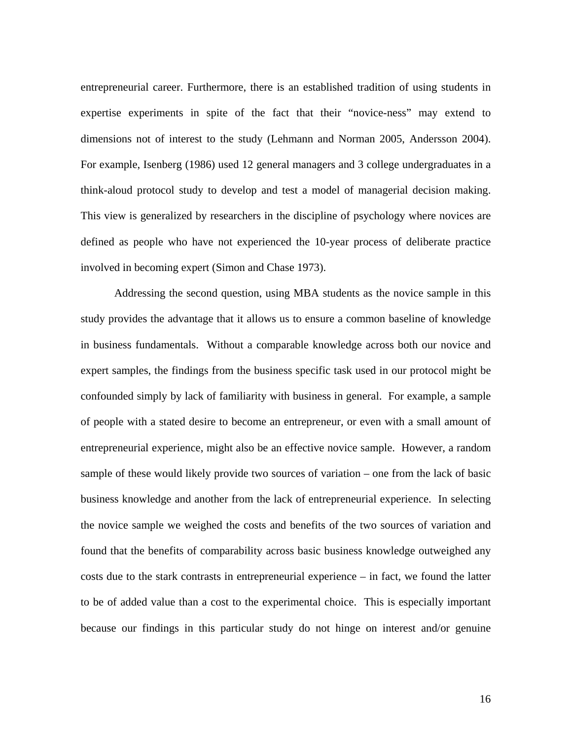entrepreneurial career. Furthermore, there is an established tradition of using students in expertise experiments in spite of the fact that their "novice-ness" may extend to dimensions not of interest to the study (Lehmann and Norman 2005, Andersson 2004). For example, Isenberg (1986) used 12 general managers and 3 college undergraduates in a think-aloud protocol study to develop and test a model of managerial decision making. This view is generalized by researchers in the discipline of psychology where novices are defined as people who have not experienced the 10-year process of deliberate practice involved in becoming expert (Simon and Chase 1973).

Addressing the second question, using MBA students as the novice sample in this study provides the advantage that it allows us to ensure a common baseline of knowledge in business fundamentals. Without a comparable knowledge across both our novice and expert samples, the findings from the business specific task used in our protocol might be confounded simply by lack of familiarity with business in general. For example, a sample of people with a stated desire to become an entrepreneur, or even with a small amount of entrepreneurial experience, might also be an effective novice sample. However, a random sample of these would likely provide two sources of variation – one from the lack of basic business knowledge and another from the lack of entrepreneurial experience. In selecting the novice sample we weighed the costs and benefits of the two sources of variation and found that the benefits of comparability across basic business knowledge outweighed any costs due to the stark contrasts in entrepreneurial experience – in fact, we found the latter to be of added value than a cost to the experimental choice. This is especially important because our findings in this particular study do not hinge on interest and/or genuine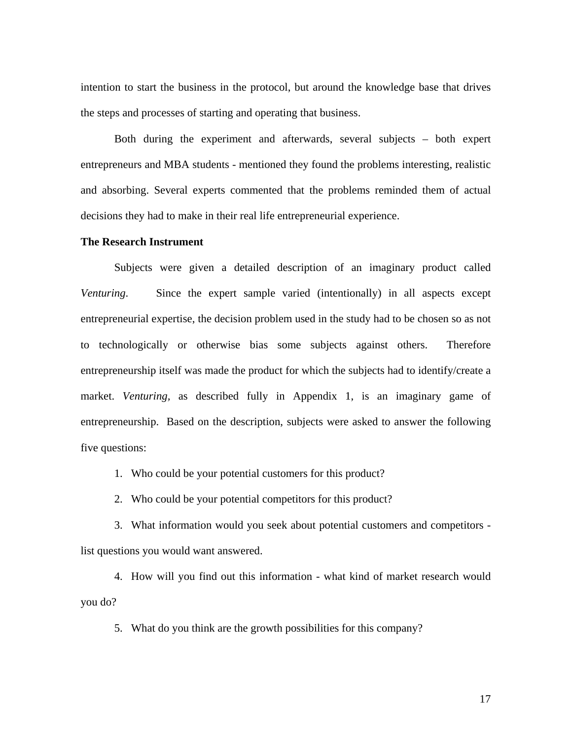intention to start the business in the protocol, but around the knowledge base that drives the steps and processes of starting and operating that business.

Both during the experiment and afterwards, several subjects – both expert entrepreneurs and MBA students - mentioned they found the problems interesting, realistic and absorbing. Several experts commented that the problems reminded them of actual decisions they had to make in their real life entrepreneurial experience.

#### **The Research Instrument**

Subjects were given a detailed description of an imaginary product called *Venturing*. Since the expert sample varied (intentionally) in all aspects except entrepreneurial expertise, the decision problem used in the study had to be chosen so as not to technologically or otherwise bias some subjects against others. Therefore entrepreneurship itself was made the product for which the subjects had to identify/create a market. *Venturing,* as described fully in Appendix 1, is an imaginary game of entrepreneurship. Based on the description, subjects were asked to answer the following five questions:

1. Who could be your potential customers for this product?

2. Who could be your potential competitors for this product?

3. What information would you seek about potential customers and competitors list questions you would want answered.

4. How will you find out this information - what kind of market research would you do?

5. What do you think are the growth possibilities for this company?

17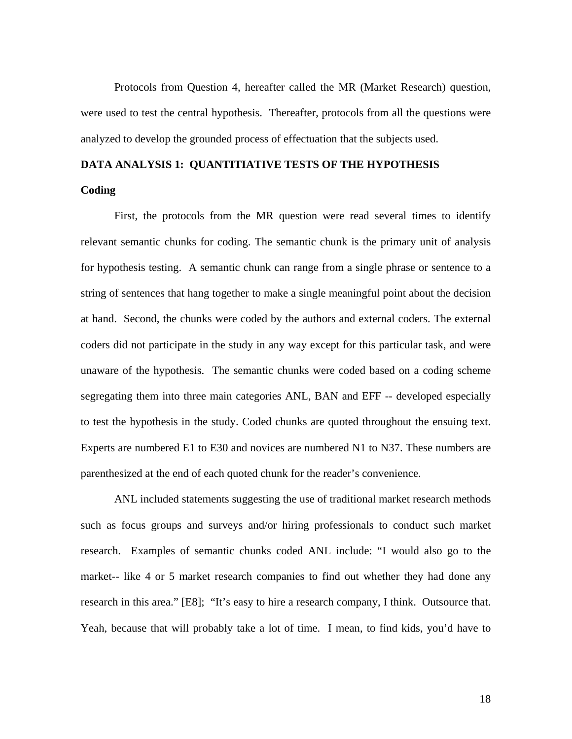Protocols from Question 4, hereafter called the MR (Market Research) question, were used to test the central hypothesis. Thereafter, protocols from all the questions were analyzed to develop the grounded process of effectuation that the subjects used.

## **DATA ANALYSIS 1: QUANTITIATIVE TESTS OF THE HYPOTHESIS**

**Coding** 

First, the protocols from the MR question were read several times to identify relevant semantic chunks for coding. The semantic chunk is the primary unit of analysis for hypothesis testing. A semantic chunk can range from a single phrase or sentence to a string of sentences that hang together to make a single meaningful point about the decision at hand. Second, the chunks were coded by the authors and external coders. The external coders did not participate in the study in any way except for this particular task, and were unaware of the hypothesis. The semantic chunks were coded based on a coding scheme segregating them into three main categories ANL, BAN and EFF -- developed especially to test the hypothesis in the study. Coded chunks are quoted throughout the ensuing text. Experts are numbered E1 to E30 and novices are numbered N1 to N37. These numbers are parenthesized at the end of each quoted chunk for the reader's convenience.

ANL included statements suggesting the use of traditional market research methods such as focus groups and surveys and/or hiring professionals to conduct such market research. Examples of semantic chunks coded ANL include: "I would also go to the market-- like 4 or 5 market research companies to find out whether they had done any research in this area." [E8]; "It's easy to hire a research company, I think. Outsource that. Yeah, because that will probably take a lot of time. I mean, to find kids, you'd have to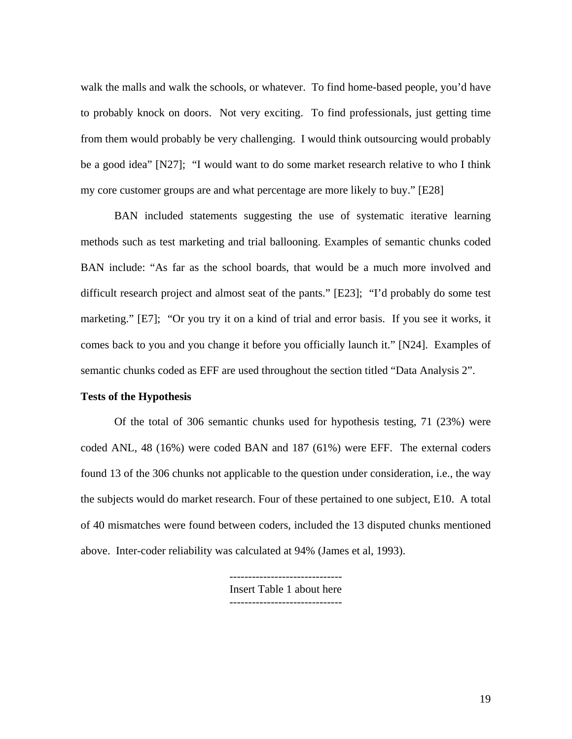walk the malls and walk the schools, or whatever. To find home-based people, you'd have to probably knock on doors. Not very exciting. To find professionals, just getting time from them would probably be very challenging. I would think outsourcing would probably be a good idea" [N27]; "I would want to do some market research relative to who I think my core customer groups are and what percentage are more likely to buy." [E28]

BAN included statements suggesting the use of systematic iterative learning methods such as test marketing and trial ballooning. Examples of semantic chunks coded BAN include: "As far as the school boards, that would be a much more involved and difficult research project and almost seat of the pants." [E23]; "I'd probably do some test marketing." [E7]; "Or you try it on a kind of trial and error basis. If you see it works, it comes back to you and you change it before you officially launch it." [N24]. Examples of semantic chunks coded as EFF are used throughout the section titled "Data Analysis 2".

#### **Tests of the Hypothesis**

Of the total of 306 semantic chunks used for hypothesis testing, 71 (23%) were coded ANL, 48 (16%) were coded BAN and 187 (61%) were EFF. The external coders found 13 of the 306 chunks not applicable to the question under consideration, i.e., the way the subjects would do market research. Four of these pertained to one subject, E10. A total of 40 mismatches were found between coders, included the 13 disputed chunks mentioned above. Inter-coder reliability was calculated at 94% (James et al, 1993).

> ------------------------------ Insert Table 1 about here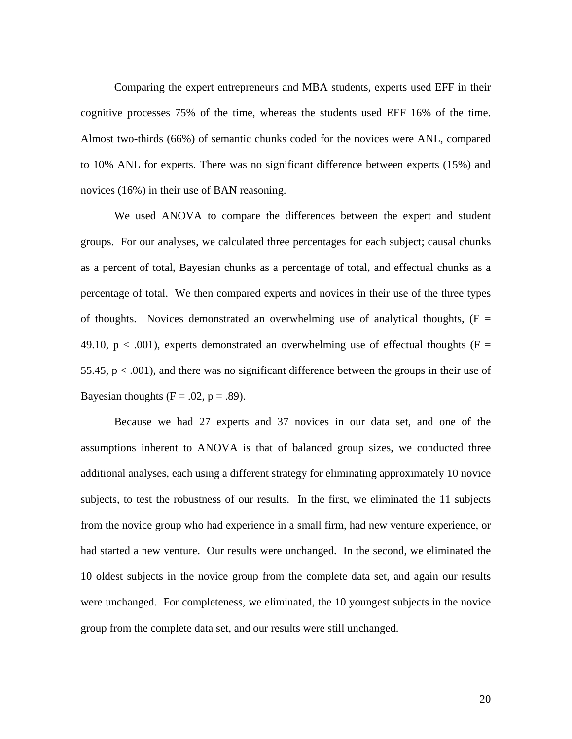Comparing the expert entrepreneurs and MBA students, experts used EFF in their cognitive processes 75% of the time, whereas the students used EFF 16% of the time. Almost two-thirds (66%) of semantic chunks coded for the novices were ANL, compared to 10% ANL for experts. There was no significant difference between experts (15%) and novices (16%) in their use of BAN reasoning.

We used ANOVA to compare the differences between the expert and student groups. For our analyses, we calculated three percentages for each subject; causal chunks as a percent of total, Bayesian chunks as a percentage of total, and effectual chunks as a percentage of total. We then compared experts and novices in their use of the three types of thoughts. Novices demonstrated an overwhelming use of analytical thoughts,  $(F =$ 49.10,  $p < .001$ ), experts demonstrated an overwhelming use of effectual thoughts (F = 55.45,  $p < .001$ ), and there was no significant difference between the groups in their use of Bayesian thoughts ( $F = .02$ ,  $p = .89$ ).

Because we had 27 experts and 37 novices in our data set, and one of the assumptions inherent to ANOVA is that of balanced group sizes, we conducted three additional analyses, each using a different strategy for eliminating approximately 10 novice subjects, to test the robustness of our results. In the first, we eliminated the 11 subjects from the novice group who had experience in a small firm, had new venture experience, or had started a new venture. Our results were unchanged. In the second, we eliminated the 10 oldest subjects in the novice group from the complete data set, and again our results were unchanged. For completeness, we eliminated, the 10 youngest subjects in the novice group from the complete data set, and our results were still unchanged.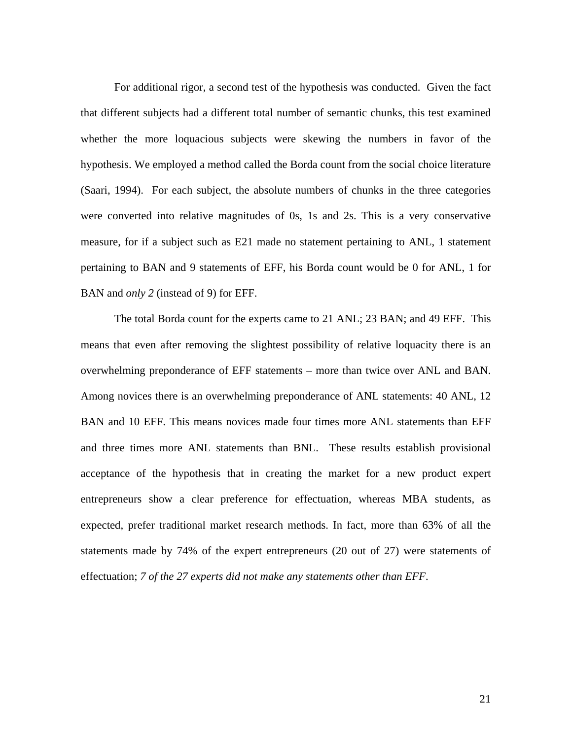For additional rigor, a second test of the hypothesis was conducted. Given the fact that different subjects had a different total number of semantic chunks, this test examined whether the more loquacious subjects were skewing the numbers in favor of the hypothesis. We employed a method called the Borda count from the social choice literature (Saari, 1994). For each subject, the absolute numbers of chunks in the three categories were converted into relative magnitudes of 0s, 1s and 2s. This is a very conservative measure, for if a subject such as E21 made no statement pertaining to ANL, 1 statement pertaining to BAN and 9 statements of EFF, his Borda count would be 0 for ANL, 1 for BAN and *only 2* (instead of 9) for EFF.

The total Borda count for the experts came to 21 ANL; 23 BAN; and 49 EFF. This means that even after removing the slightest possibility of relative loquacity there is an overwhelming preponderance of EFF statements – more than twice over ANL and BAN. Among novices there is an overwhelming preponderance of ANL statements: 40 ANL, 12 BAN and 10 EFF. This means novices made four times more ANL statements than EFF and three times more ANL statements than BNL. These results establish provisional acceptance of the hypothesis that in creating the market for a new product expert entrepreneurs show a clear preference for effectuation, whereas MBA students, as expected, prefer traditional market research methods. In fact, more than 63% of all the statements made by 74% of the expert entrepreneurs (20 out of 27) were statements of effectuation; *7 of the 27 experts did not make any statements other than EFF*.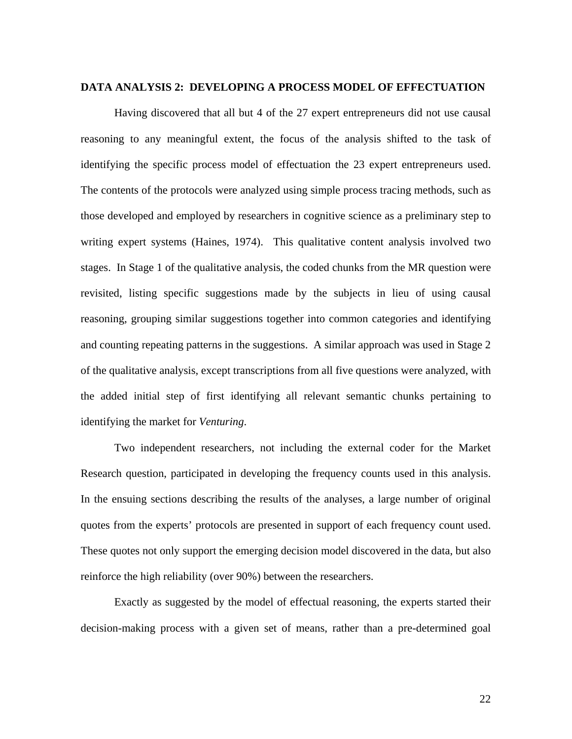#### **DATA ANALYSIS 2: DEVELOPING A PROCESS MODEL OF EFFECTUATION**

Having discovered that all but 4 of the 27 expert entrepreneurs did not use causal reasoning to any meaningful extent, the focus of the analysis shifted to the task of identifying the specific process model of effectuation the 23 expert entrepreneurs used. The contents of the protocols were analyzed using simple process tracing methods, such as those developed and employed by researchers in cognitive science as a preliminary step to writing expert systems (Haines, 1974). This qualitative content analysis involved two stages. In Stage 1 of the qualitative analysis, the coded chunks from the MR question were revisited, listing specific suggestions made by the subjects in lieu of using causal reasoning, grouping similar suggestions together into common categories and identifying and counting repeating patterns in the suggestions. A similar approach was used in Stage 2 of the qualitative analysis, except transcriptions from all five questions were analyzed, with the added initial step of first identifying all relevant semantic chunks pertaining to identifying the market for *Venturing*.

Two independent researchers, not including the external coder for the Market Research question, participated in developing the frequency counts used in this analysis. In the ensuing sections describing the results of the analyses, a large number of original quotes from the experts' protocols are presented in support of each frequency count used. These quotes not only support the emerging decision model discovered in the data, but also reinforce the high reliability (over 90%) between the researchers.

Exactly as suggested by the model of effectual reasoning, the experts started their decision-making process with a given set of means, rather than a pre-determined goal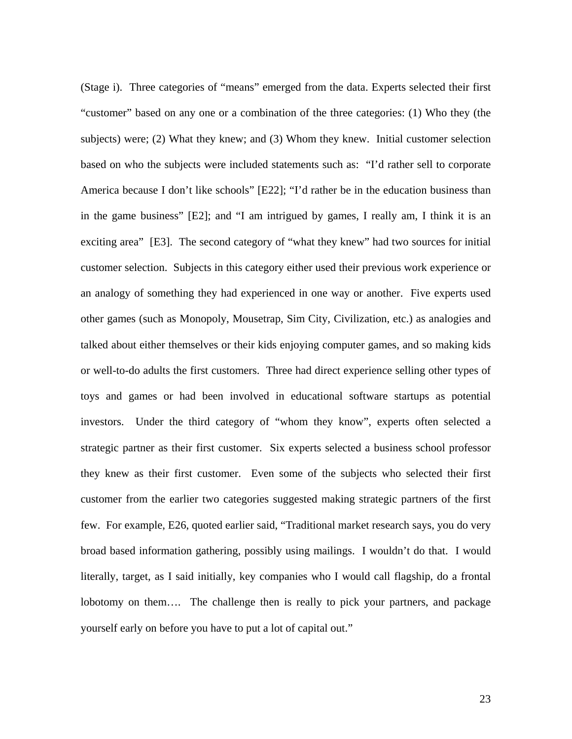(Stage i). Three categories of "means" emerged from the data. Experts selected their first "customer" based on any one or a combination of the three categories: (1) Who they (the subjects) were; (2) What they knew; and (3) Whom they knew. Initial customer selection based on who the subjects were included statements such as: "I'd rather sell to corporate America because I don't like schools" [E22]; "I'd rather be in the education business than in the game business" [E2]; and "I am intrigued by games, I really am, I think it is an exciting area" [E3]. The second category of "what they knew" had two sources for initial customer selection. Subjects in this category either used their previous work experience or an analogy of something they had experienced in one way or another. Five experts used other games (such as Monopoly, Mousetrap, Sim City, Civilization, etc.) as analogies and talked about either themselves or their kids enjoying computer games, and so making kids or well-to-do adults the first customers. Three had direct experience selling other types of toys and games or had been involved in educational software startups as potential investors. Under the third category of "whom they know", experts often selected a strategic partner as their first customer. Six experts selected a business school professor they knew as their first customer. Even some of the subjects who selected their first customer from the earlier two categories suggested making strategic partners of the first few. For example, E26, quoted earlier said, "Traditional market research says, you do very broad based information gathering, possibly using mailings. I wouldn't do that. I would literally, target, as I said initially, key companies who I would call flagship, do a frontal lobotomy on them…. The challenge then is really to pick your partners, and package yourself early on before you have to put a lot of capital out."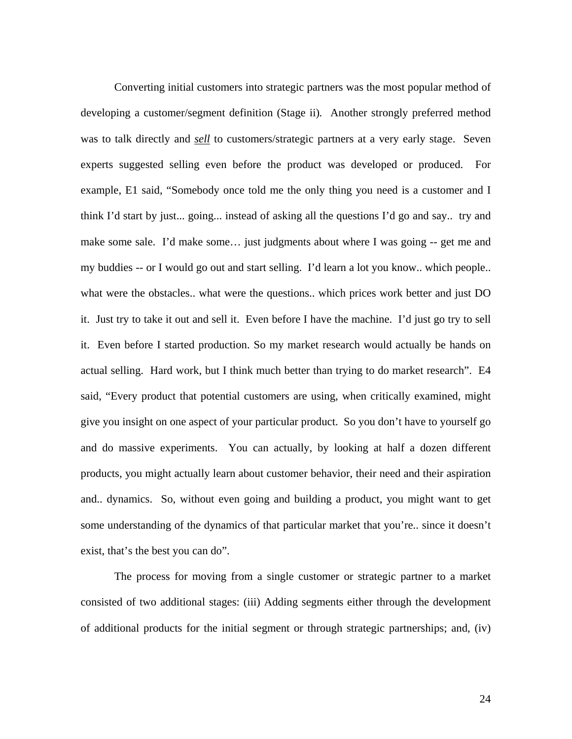Converting initial customers into strategic partners was the most popular method of developing a customer/segment definition (Stage ii)*.* Another strongly preferred method was to talk directly and *sell* to customers/strategic partners at a very early stage. Seven experts suggested selling even before the product was developed or produced. For example, E1 said, "Somebody once told me the only thing you need is a customer and I think I'd start by just... going... instead of asking all the questions I'd go and say.. try and make some sale. I'd make some… just judgments about where I was going -- get me and my buddies -- or I would go out and start selling. I'd learn a lot you know.. which people.. what were the obstacles.. what were the questions.. which prices work better and just DO it. Just try to take it out and sell it. Even before I have the machine. I'd just go try to sell it. Even before I started production. So my market research would actually be hands on actual selling. Hard work, but I think much better than trying to do market research". E4 said, "Every product that potential customers are using, when critically examined, might give you insight on one aspect of your particular product. So you don't have to yourself go and do massive experiments. You can actually, by looking at half a dozen different products, you might actually learn about customer behavior, their need and their aspiration and.. dynamics. So, without even going and building a product, you might want to get some understanding of the dynamics of that particular market that you're.. since it doesn't exist, that's the best you can do".

The process for moving from a single customer or strategic partner to a market consisted of two additional stages: (iii) Adding segments either through the development of additional products for the initial segment or through strategic partnerships; and, (iv)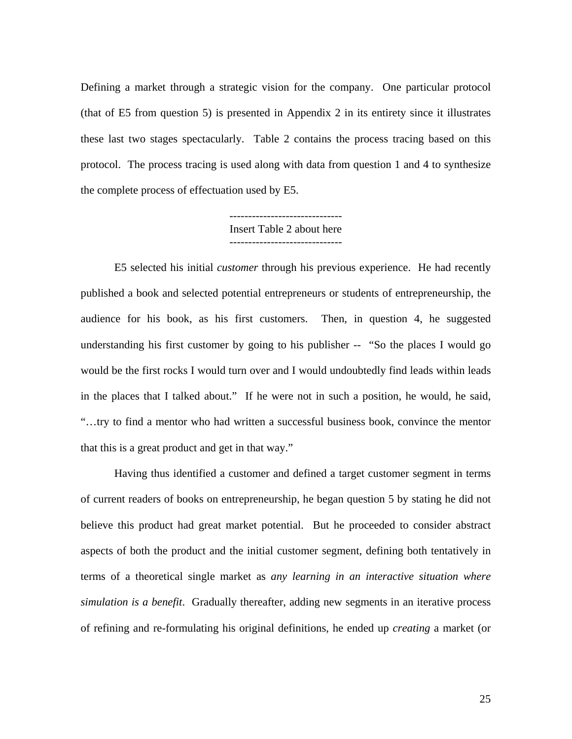Defining a market through a strategic vision for the company. One particular protocol (that of E5 from question 5) is presented in Appendix 2 in its entirety since it illustrates these last two stages spectacularly. Table 2 contains the process tracing based on this protocol. The process tracing is used along with data from question 1 and 4 to synthesize the complete process of effectuation used by E5.

> Insert Table 2 about here ------------------------------

E5 selected his initial *customer* through his previous experience. He had recently published a book and selected potential entrepreneurs or students of entrepreneurship, the audience for his book, as his first customers. Then, in question 4, he suggested understanding his first customer by going to his publisher -- "So the places I would go would be the first rocks I would turn over and I would undoubtedly find leads within leads in the places that I talked about." If he were not in such a position, he would, he said, "…try to find a mentor who had written a successful business book, convince the mentor that this is a great product and get in that way."

Having thus identified a customer and defined a target customer segment in terms of current readers of books on entrepreneurship, he began question 5 by stating he did not believe this product had great market potential. But he proceeded to consider abstract aspects of both the product and the initial customer segment, defining both tentatively in terms of a theoretical single market as *any learning in an interactive situation where simulation is a benefit*. Gradually thereafter, adding new segments in an iterative process of refining and re-formulating his original definitions, he ended up *creating* a market (or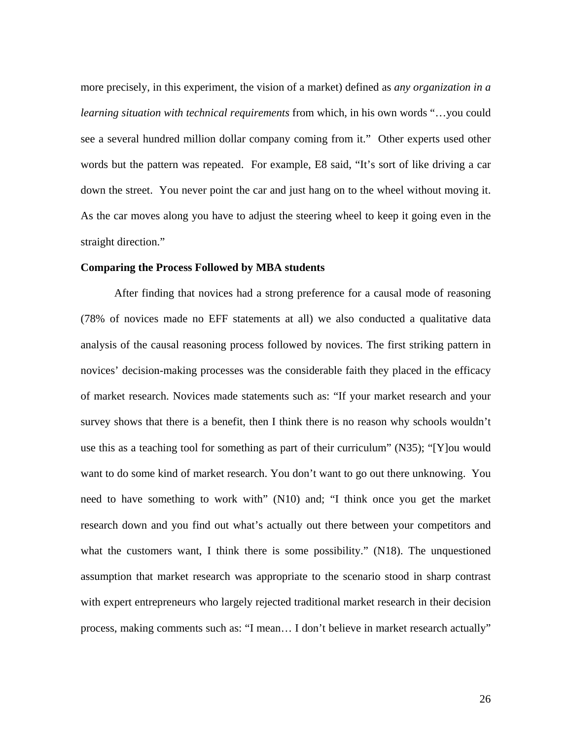more precisely, in this experiment, the vision of a market) defined as *any organization in a learning situation with technical requirements* from which, in his own words "…you could see a several hundred million dollar company coming from it." Other experts used other words but the pattern was repeated. For example, E8 said, "It's sort of like driving a car down the street. You never point the car and just hang on to the wheel without moving it. As the car moves along you have to adjust the steering wheel to keep it going even in the straight direction."

#### **Comparing the Process Followed by MBA students**

After finding that novices had a strong preference for a causal mode of reasoning (78% of novices made no EFF statements at all) we also conducted a qualitative data analysis of the causal reasoning process followed by novices. The first striking pattern in novices' decision-making processes was the considerable faith they placed in the efficacy of market research. Novices made statements such as: "If your market research and your survey shows that there is a benefit, then I think there is no reason why schools wouldn't use this as a teaching tool for something as part of their curriculum" (N35); "[Y]ou would want to do some kind of market research. You don't want to go out there unknowing. You need to have something to work with" (N10) and; "I think once you get the market research down and you find out what's actually out there between your competitors and what the customers want, I think there is some possibility." (N18). The unquestioned assumption that market research was appropriate to the scenario stood in sharp contrast with expert entrepreneurs who largely rejected traditional market research in their decision process, making comments such as: "I mean… I don't believe in market research actually"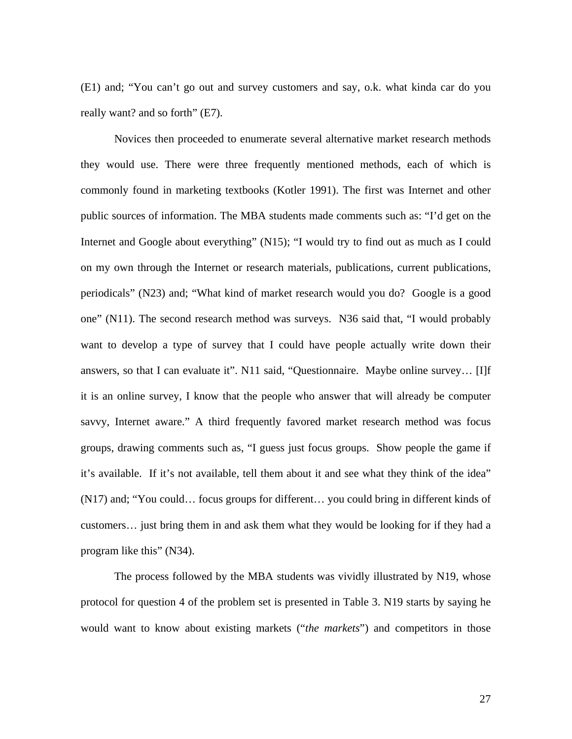(E1) and; "You can't go out and survey customers and say, o.k. what kinda car do you really want? and so forth" (E7).

Novices then proceeded to enumerate several alternative market research methods they would use. There were three frequently mentioned methods, each of which is commonly found in marketing textbooks (Kotler 1991). The first was Internet and other public sources of information. The MBA students made comments such as: "I'd get on the Internet and Google about everything" (N15); "I would try to find out as much as I could on my own through the Internet or research materials, publications, current publications, periodicals" (N23) and; "What kind of market research would you do? Google is a good one" (N11). The second research method was surveys. N36 said that, "I would probably want to develop a type of survey that I could have people actually write down their answers, so that I can evaluate it". N11 said, "Questionnaire. Maybe online survey… [I]f it is an online survey, I know that the people who answer that will already be computer savvy, Internet aware." A third frequently favored market research method was focus groups, drawing comments such as, "I guess just focus groups. Show people the game if it's available. If it's not available, tell them about it and see what they think of the idea" (N17) and; "You could… focus groups for different… you could bring in different kinds of customers… just bring them in and ask them what they would be looking for if they had a program like this" (N34).

The process followed by the MBA students was vividly illustrated by N19, whose protocol for question 4 of the problem set is presented in Table 3. N19 starts by saying he would want to know about existing markets ("*the markets*") and competitors in those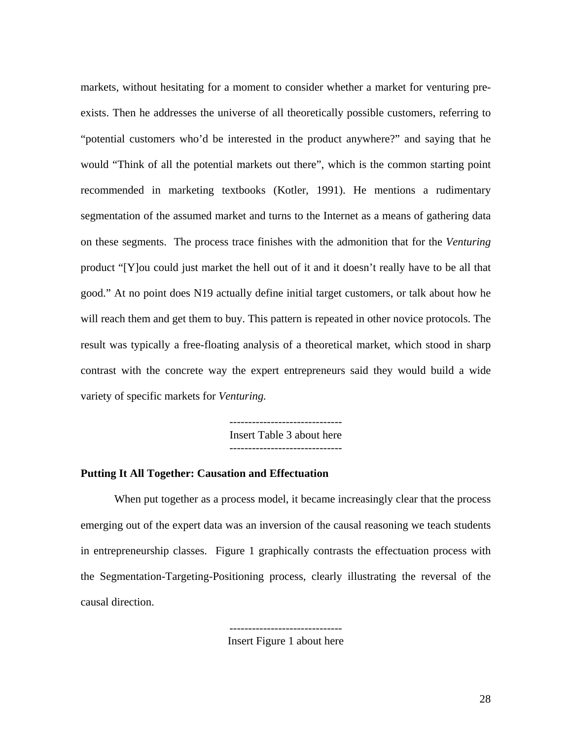markets, without hesitating for a moment to consider whether a market for venturing preexists. Then he addresses the universe of all theoretically possible customers, referring to "potential customers who'd be interested in the product anywhere?" and saying that he would "Think of all the potential markets out there", which is the common starting point recommended in marketing textbooks (Kotler, 1991). He mentions a rudimentary segmentation of the assumed market and turns to the Internet as a means of gathering data on these segments. The process trace finishes with the admonition that for the *Venturing*  product "[Y]ou could just market the hell out of it and it doesn't really have to be all that good." At no point does N19 actually define initial target customers, or talk about how he will reach them and get them to buy. This pattern is repeated in other novice protocols. The result was typically a free-floating analysis of a theoretical market, which stood in sharp contrast with the concrete way the expert entrepreneurs said they would build a wide variety of specific markets for *Venturing.* 

> ------------------------------ Insert Table 3 about here

#### **Putting It All Together: Causation and Effectuation**

When put together as a process model, it became increasingly clear that the process emerging out of the expert data was an inversion of the causal reasoning we teach students in entrepreneurship classes. Figure 1 graphically contrasts the effectuation process with the Segmentation-Targeting-Positioning process, clearly illustrating the reversal of the causal direction.

> ------------------------------ Insert Figure 1 about here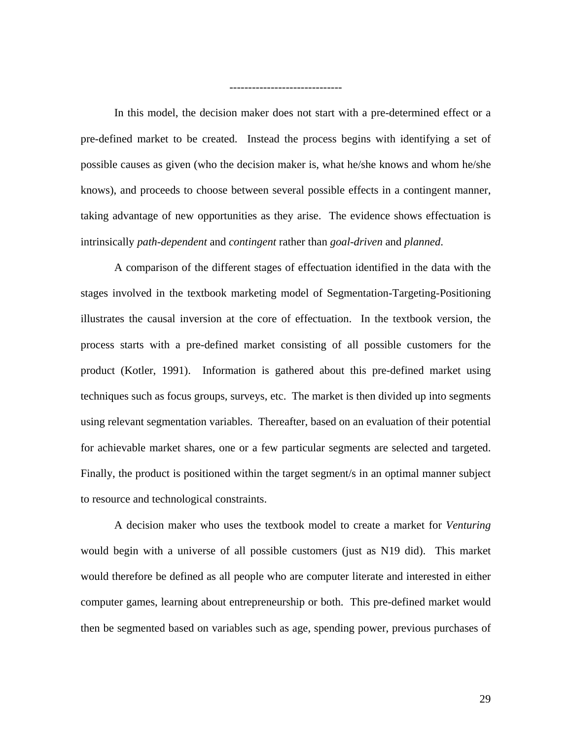In this model, the decision maker does not start with a pre-determined effect or a pre-defined market to be created. Instead the process begins with identifying a set of possible causes as given (who the decision maker is, what he/she knows and whom he/she knows), and proceeds to choose between several possible effects in a contingent manner, taking advantage of new opportunities as they arise. The evidence shows effectuation is intrinsically *path-dependent* and *contingent* rather than *goal-driven* and *planned*.

------------------------------

A comparison of the different stages of effectuation identified in the data with the stages involved in the textbook marketing model of Segmentation-Targeting-Positioning illustrates the causal inversion at the core of effectuation. In the textbook version, the process starts with a pre-defined market consisting of all possible customers for the product (Kotler, 1991). Information is gathered about this pre-defined market using techniques such as focus groups, surveys, etc. The market is then divided up into segments using relevant segmentation variables. Thereafter, based on an evaluation of their potential for achievable market shares, one or a few particular segments are selected and targeted. Finally, the product is positioned within the target segment/s in an optimal manner subject to resource and technological constraints.

A decision maker who uses the textbook model to create a market for *Venturing* would begin with a universe of all possible customers (just as N19 did). This market would therefore be defined as all people who are computer literate and interested in either computer games, learning about entrepreneurship or both. This pre-defined market would then be segmented based on variables such as age, spending power, previous purchases of

29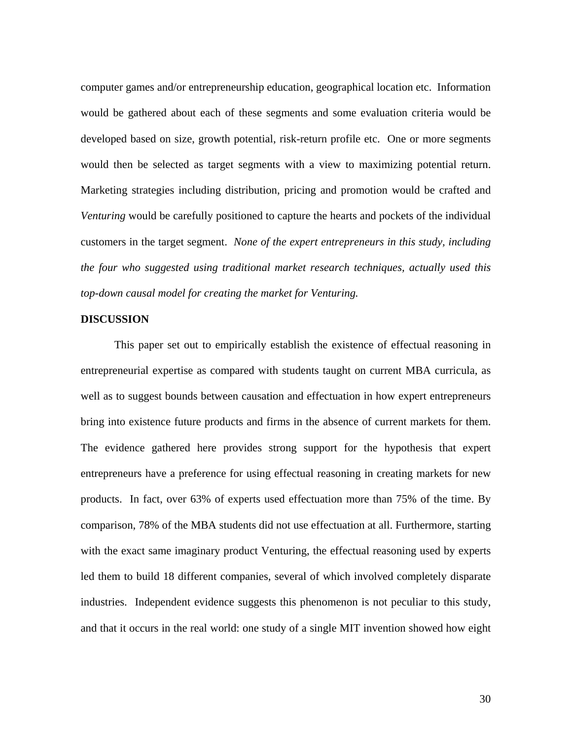computer games and/or entrepreneurship education, geographical location etc. Information would be gathered about each of these segments and some evaluation criteria would be developed based on size, growth potential, risk-return profile etc. One or more segments would then be selected as target segments with a view to maximizing potential return. Marketing strategies including distribution, pricing and promotion would be crafted and *Venturing* would be carefully positioned to capture the hearts and pockets of the individual customers in the target segment. *None of the expert entrepreneurs in this study, including the four who suggested using traditional market research techniques, actually used this top-down causal model for creating the market for Venturing.*

#### **DISCUSSION**

This paper set out to empirically establish the existence of effectual reasoning in entrepreneurial expertise as compared with students taught on current MBA curricula, as well as to suggest bounds between causation and effectuation in how expert entrepreneurs bring into existence future products and firms in the absence of current markets for them. The evidence gathered here provides strong support for the hypothesis that expert entrepreneurs have a preference for using effectual reasoning in creating markets for new products. In fact, over 63% of experts used effectuation more than 75% of the time. By comparison, 78% of the MBA students did not use effectuation at all. Furthermore, starting with the exact same imaginary product Venturing, the effectual reasoning used by experts led them to build 18 different companies, several of which involved completely disparate industries. Independent evidence suggests this phenomenon is not peculiar to this study, and that it occurs in the real world: one study of a single MIT invention showed how eight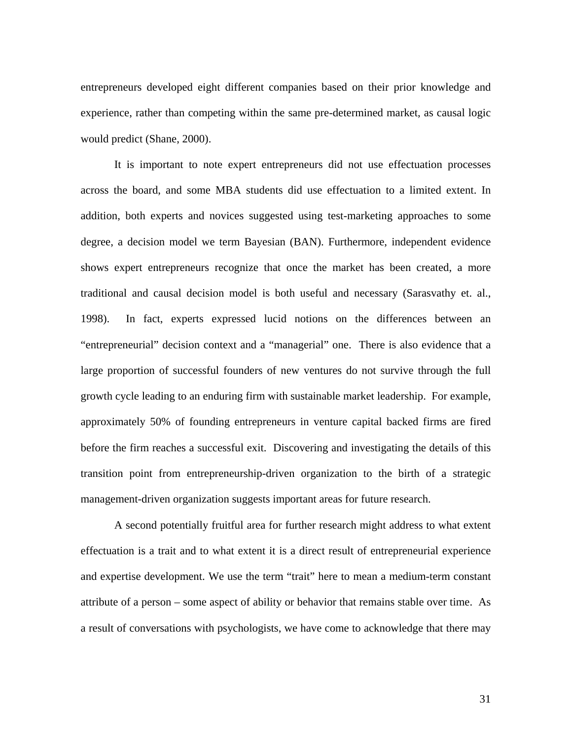entrepreneurs developed eight different companies based on their prior knowledge and experience, rather than competing within the same pre-determined market, as causal logic would predict (Shane, 2000).

It is important to note expert entrepreneurs did not use effectuation processes across the board, and some MBA students did use effectuation to a limited extent. In addition, both experts and novices suggested using test-marketing approaches to some degree, a decision model we term Bayesian (BAN). Furthermore, independent evidence shows expert entrepreneurs recognize that once the market has been created, a more traditional and causal decision model is both useful and necessary (Sarasvathy et. al., 1998). In fact, experts expressed lucid notions on the differences between an "entrepreneurial" decision context and a "managerial" one. There is also evidence that a large proportion of successful founders of new ventures do not survive through the full growth cycle leading to an enduring firm with sustainable market leadership. For example, approximately 50% of founding entrepreneurs in venture capital backed firms are fired before the firm reaches a successful exit. Discovering and investigating the details of this transition point from entrepreneurship-driven organization to the birth of a strategic management-driven organization suggests important areas for future research.

A second potentially fruitful area for further research might address to what extent effectuation is a trait and to what extent it is a direct result of entrepreneurial experience and expertise development. We use the term "trait" here to mean a medium-term constant attribute of a person – some aspect of ability or behavior that remains stable over time. As a result of conversations with psychologists, we have come to acknowledge that there may

31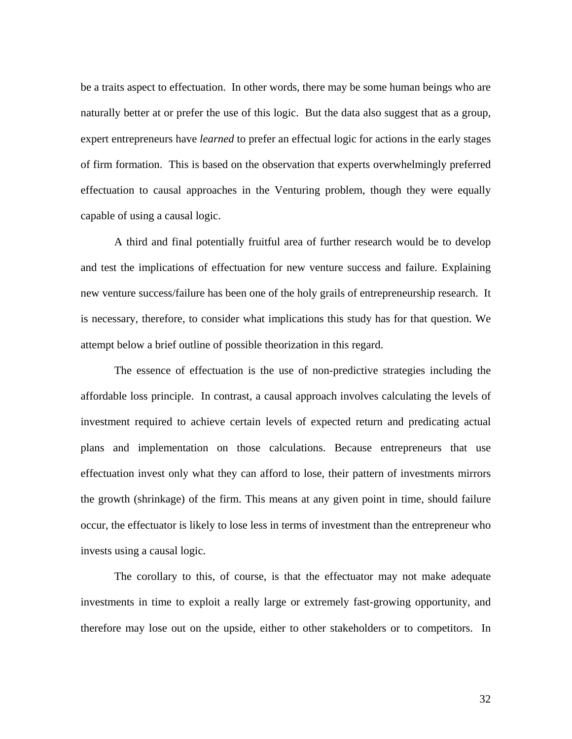be a traits aspect to effectuation. In other words, there may be some human beings who are naturally better at or prefer the use of this logic. But the data also suggest that as a group, expert entrepreneurs have *learned* to prefer an effectual logic for actions in the early stages of firm formation. This is based on the observation that experts overwhelmingly preferred effectuation to causal approaches in the Venturing problem, though they were equally capable of using a causal logic.

A third and final potentially fruitful area of further research would be to develop and test the implications of effectuation for new venture success and failure. Explaining new venture success/failure has been one of the holy grails of entrepreneurship research. It is necessary, therefore, to consider what implications this study has for that question. We attempt below a brief outline of possible theorization in this regard.

The essence of effectuation is the use of non-predictive strategies including the affordable loss principle. In contrast, a causal approach involves calculating the levels of investment required to achieve certain levels of expected return and predicating actual plans and implementation on those calculations. Because entrepreneurs that use effectuation invest only what they can afford to lose, their pattern of investments mirrors the growth (shrinkage) of the firm. This means at any given point in time, should failure occur, the effectuator is likely to lose less in terms of investment than the entrepreneur who invests using a causal logic.

The corollary to this, of course, is that the effectuator may not make adequate investments in time to exploit a really large or extremely fast-growing opportunity, and therefore may lose out on the upside, either to other stakeholders or to competitors. In

32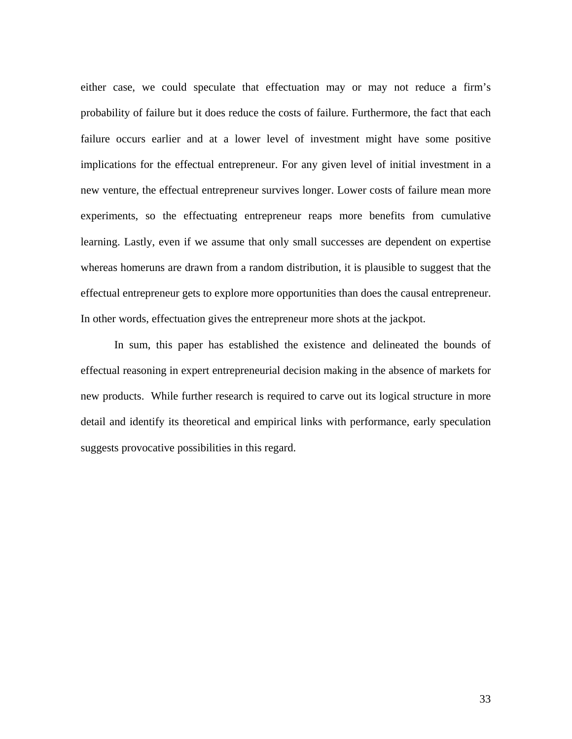either case, we could speculate that effectuation may or may not reduce a firm's probability of failure but it does reduce the costs of failure. Furthermore, the fact that each failure occurs earlier and at a lower level of investment might have some positive implications for the effectual entrepreneur. For any given level of initial investment in a new venture, the effectual entrepreneur survives longer. Lower costs of failure mean more experiments, so the effectuating entrepreneur reaps more benefits from cumulative learning. Lastly, even if we assume that only small successes are dependent on expertise whereas homeruns are drawn from a random distribution, it is plausible to suggest that the effectual entrepreneur gets to explore more opportunities than does the causal entrepreneur. In other words, effectuation gives the entrepreneur more shots at the jackpot.

In sum, this paper has established the existence and delineated the bounds of effectual reasoning in expert entrepreneurial decision making in the absence of markets for new products. While further research is required to carve out its logical structure in more detail and identify its theoretical and empirical links with performance, early speculation suggests provocative possibilities in this regard.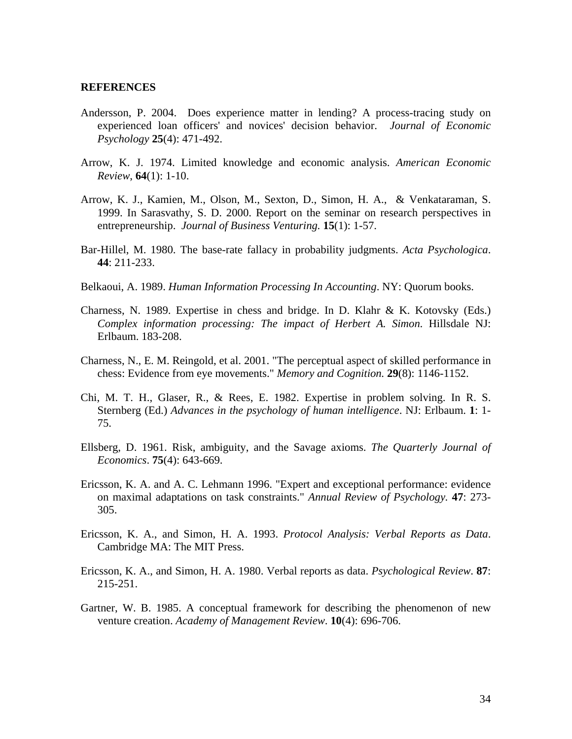#### **REFERENCES**

- Andersson, P. 2004. Does experience matter in lending? A process-tracing study on experienced loan officers' and novices' decision behavior. *Journal of Economic Psychology* **25**(4): 471-492.
- Arrow, K. J. 1974. Limited knowledge and economic analysis. *American Economic Review*, **64**(1): 1-10.
- Arrow, K. J., Kamien, M., Olson, M., Sexton, D., Simon, H. A., & Venkataraman, S. 1999. In Sarasvathy, S. D. 2000. Report on the seminar on research perspectives in entrepreneurship. *Journal of Business Venturing.* **15**(1): 1-57.
- Bar-Hillel, M. 1980. The base-rate fallacy in probability judgments. *Acta Psychologica*. **44**: 211-233.
- Belkaoui, A. 1989. *Human Information Processing In Accounting*. NY: Quorum books.
- Charness, N. 1989. Expertise in chess and bridge. In D. Klahr & K. Kotovsky (Eds.) *Complex information processing: The impact of Herbert A. Simon*. Hillsdale NJ: Erlbaum. 183-208.
- Charness, N., E. M. Reingold, et al. 2001. "The perceptual aspect of skilled performance in chess: Evidence from eye movements." *Memory and Cognition.* **29**(8): 1146-1152.
- Chi, M. T. H., Glaser, R., & Rees, E. 1982. Expertise in problem solving. In R. S. Sternberg (Ed.) *Advances in the psychology of human intelligence*. NJ: Erlbaum. **1**: 1- 75.
- Ellsberg, D. 1961. Risk, ambiguity, and the Savage axioms. *The Quarterly Journal of Economics*. **75**(4): 643-669.
- Ericsson, K. A. and A. C. Lehmann 1996. "Expert and exceptional performance: evidence on maximal adaptations on task constraints." *Annual Review of Psychology.* **47**: 273- 305.
- Ericsson, K. A., and Simon, H. A. 1993. *Protocol Analysis: Verbal Reports as Data*. Cambridge MA: The MIT Press.
- Ericsson, K. A., and Simon, H. A. 1980. Verbal reports as data. *Psychological Review*. **87**: 215-251.
- Gartner, W. B. 1985. A conceptual framework for describing the phenomenon of new venture creation. *Academy of Management Review*. **10**(4): 696-706.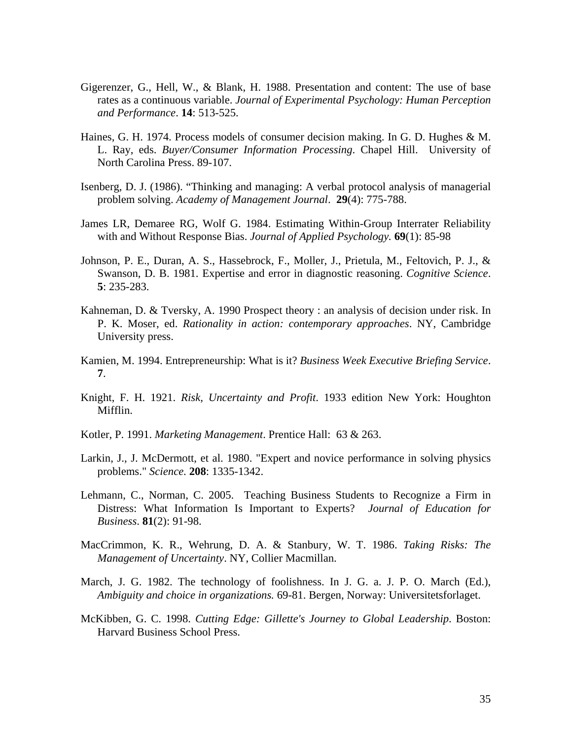- Gigerenzer, G., Hell, W., & Blank, H. 1988. Presentation and content: The use of base rates as a continuous variable. *Journal of Experimental Psychology: Human Perception and Performance*. **14**: 513-525.
- Haines, G. H. 1974. Process models of consumer decision making. In G. D. Hughes & M. L. Ray, eds. *Buyer/Consumer Information Processing*. Chapel Hill. University of North Carolina Press. 89-107.
- Isenberg, D. J. (1986). "Thinking and managing: A verbal protocol analysis of managerial problem solving. *Academy of Management Journal*. **29**(4): 775-788.
- James LR, Demaree RG, Wolf G. 1984. Estimating Within-Group Interrater Reliability with and Without Response Bias. *Journal of Applied Psychology.* **69**(1): 85-98
- Johnson, P. E., Duran, A. S., Hassebrock, F., Moller, J., Prietula, M., Feltovich, P. J., & Swanson, D. B. 1981. Expertise and error in diagnostic reasoning. *Cognitive Science*. **5**: 235-283.
- Kahneman, D. & Tversky, A. 1990 Prospect theory : an analysis of decision under risk. In P. K. Moser, ed. *Rationality in action: contemporary approaches*. NY, Cambridge University press.
- Kamien, M. 1994. Entrepreneurship: What is it? *Business Week Executive Briefing Service*. **7**.
- Knight, F. H. 1921. *Risk, Uncertainty and Profit*. 1933 edition New York: Houghton Mifflin.
- Kotler, P. 1991. *Marketing Management*. Prentice Hall: 63 & 263.
- Larkin, J., J. McDermott, et al. 1980. "Expert and novice performance in solving physics problems." *Science.* **208**: 1335-1342.
- Lehmann, C., Norman, C. 2005. Teaching Business Students to Recognize a Firm in Distress: What Information Is Important to Experts? *Journal of Education for Business*. **81**(2): 91-98.
- MacCrimmon, K. R., Wehrung, D. A. & Stanbury, W. T. 1986. *Taking Risks: The Management of Uncertainty*. NY, Collier Macmillan.
- March, J. G. 1982. The technology of foolishness. In J. G. a. J. P. O. March (Ed.), *Ambiguity and choice in organizations.* 69-81. Bergen, Norway: Universitetsforlaget.
- McKibben, G. C. 1998. *Cutting Edge: Gillette's Journey to Global Leadership*. Boston: Harvard Business School Press.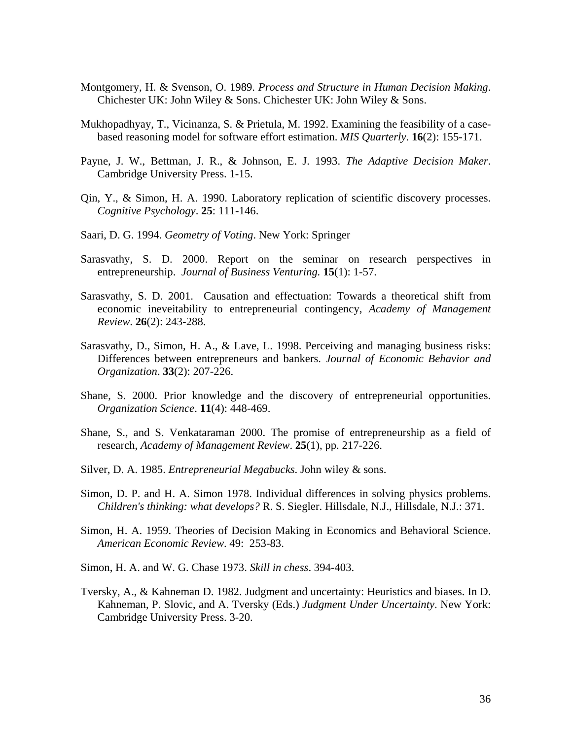- Montgomery, H. & Svenson, O. 1989. *Process and Structure in Human Decision Making*. Chichester UK: John Wiley & Sons. Chichester UK: John Wiley & Sons.
- Mukhopadhyay, T., Vicinanza, S. & Prietula, M. 1992. Examining the feasibility of a casebased reasoning model for software effort estimation. *MIS Quarterly*. **16**(2): 155-171.
- Payne, J. W., Bettman, J. R., & Johnson, E. J. 1993. *The Adaptive Decision Maker*. Cambridge University Press. 1-15.
- Qin, Y., & Simon, H. A. 1990. Laboratory replication of scientific discovery processes. *Cognitive Psychology*. **25**: 111-146.
- Saari, D. G. 1994. *Geometry of Voting*. New York: Springer
- Sarasvathy, S. D. 2000. Report on the seminar on research perspectives in entrepreneurship. *Journal of Business Venturing.* **15**(1): 1-57.
- Sarasvathy, S. D. 2001. Causation and effectuation: Towards a theoretical shift from economic ineveitability to entrepreneurial contingency, *Academy of Management Review*. **26**(2): 243-288.
- Sarasvathy, D., Simon, H. A., & Lave, L. 1998. Perceiving and managing business risks: Differences between entrepreneurs and bankers. *Journal of Economic Behavior and Organization*. **33**(2): 207-226.
- Shane, S. 2000. Prior knowledge and the discovery of entrepreneurial opportunities. *Organization Science*. **11**(4): 448-469.
- Shane, S., and S. Venkataraman 2000. The promise of entrepreneurship as a field of research, *Academy of Management Review*. **25**(1), pp. 217-226.
- Silver, D. A. 1985. *Entrepreneurial Megabucks*. John wiley & sons.
- Simon, D. P. and H. A. Simon 1978. Individual differences in solving physics problems. *Children's thinking: what develops?* R. S. Siegler. Hillsdale, N.J., Hillsdale, N.J.: 371.
- Simon, H. A. 1959. Theories of Decision Making in Economics and Behavioral Science. *American Economic Review*. 49: 253-83.
- Simon, H. A. and W. G. Chase 1973. *Skill in chess*. 394-403.
- Tversky, A., & Kahneman D. 1982. Judgment and uncertainty: Heuristics and biases. In D. Kahneman, P. Slovic, and A. Tversky (Eds.) *Judgment Under Uncertainty*. New York: Cambridge University Press. 3-20.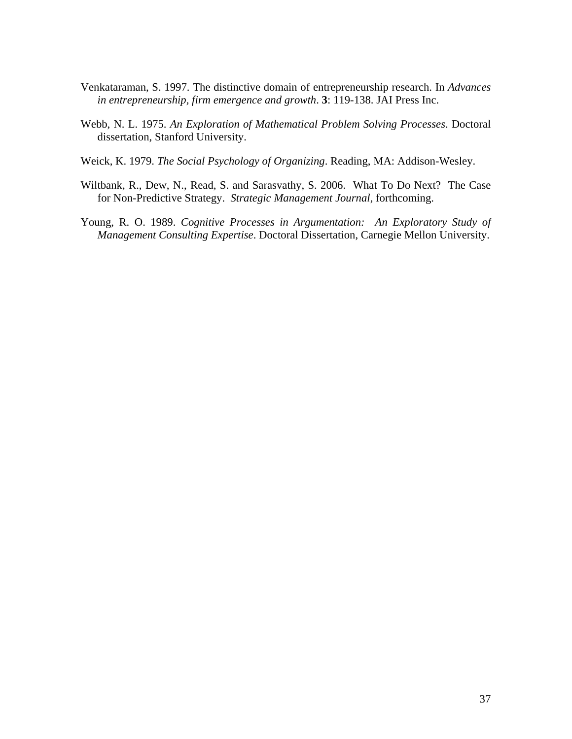- Venkataraman, S. 1997. The distinctive domain of entrepreneurship research. In *Advances in entrepreneurship, firm emergence and growth*. **3**: 119-138. JAI Press Inc.
- Webb, N. L. 1975. *An Exploration of Mathematical Problem Solving Processes*. Doctoral dissertation, Stanford University.
- Weick, K. 1979. *The Social Psychology of Organizing*. Reading, MA: Addison-Wesley.
- Wiltbank, R., Dew, N., Read, S. and Sarasvathy, S. 2006. What To Do Next? The Case for Non-Predictive Strategy. *Strategic Management Journal*, forthcoming.
- Young, R. O. 1989. *Cognitive Processes in Argumentation: An Exploratory Study of Management Consulting Expertise*. Doctoral Dissertation, Carnegie Mellon University.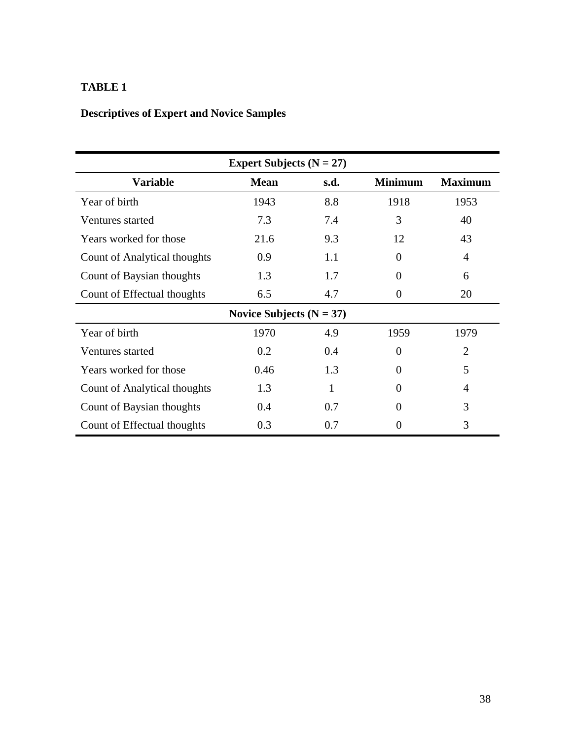## **TABLE 1**

## **Descriptives of Expert and Novice Samples**

| Expert Subjects ( $N = 27$ ) |             |      |                   |                |  |
|------------------------------|-------------|------|-------------------|----------------|--|
| <b>Variable</b>              | <b>Mean</b> | s.d. | <b>Minimum</b>    | <b>Maximum</b> |  |
| Year of birth                | 1943        | 8.8  | 1918              | 1953           |  |
| Ventures started             | 7.3         | 7.4  | 3                 | 40             |  |
| Years worked for those       | 21.6        | 9.3  | 12                | 43             |  |
| Count of Analytical thoughts | 0.9         | 1.1  | 0                 | 4              |  |
| Count of Baysian thoughts    | 1.3         | 1.7  | 0                 | 6              |  |
| Count of Effectual thoughts  | 6.5         | 4.7  | $\theta$          | 20             |  |
| Novice Subjects ( $N = 37$ ) |             |      |                   |                |  |
| Year of birth                | 1970        | 4.9  | 1959              | 1979           |  |
| Ventures started             | 0.2         | 0.4  | 0                 | 2              |  |
| Years worked for those       | 0.46        | 1.3  | 0                 | 5              |  |
| Count of Analytical thoughts | 1.3         | 1    | $\Omega$          | 4              |  |
| Count of Baysian thoughts    | 0.4         | 0.7  | $\mathbf{\Omega}$ | 3              |  |
| Count of Effectual thoughts  | 0.3         | 0.7  | 0                 | 3              |  |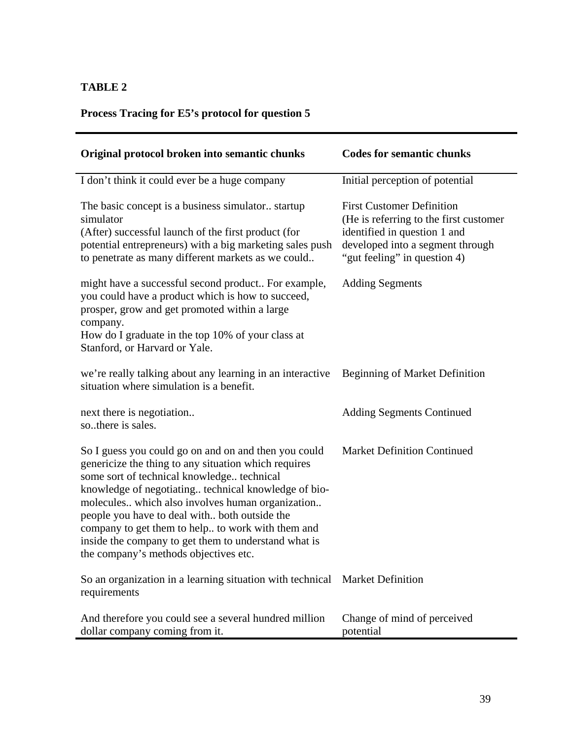## **TABLE 2**

## **Process Tracing for E5's protocol for question 5**

| Original protocol broken into semantic chunks                                                                                                                                                                                                                                                                                                                                                                                                                                 | <b>Codes for semantic chunks</b>                                                                                                                                               |  |
|-------------------------------------------------------------------------------------------------------------------------------------------------------------------------------------------------------------------------------------------------------------------------------------------------------------------------------------------------------------------------------------------------------------------------------------------------------------------------------|--------------------------------------------------------------------------------------------------------------------------------------------------------------------------------|--|
| I don't think it could ever be a huge company                                                                                                                                                                                                                                                                                                                                                                                                                                 | Initial perception of potential                                                                                                                                                |  |
| The basic concept is a business simulator startup<br>simulator<br>(After) successful launch of the first product (for<br>potential entrepreneurs) with a big marketing sales push<br>to penetrate as many different markets as we could                                                                                                                                                                                                                                       | <b>First Customer Definition</b><br>(He is referring to the first customer<br>identified in question 1 and<br>developed into a segment through<br>"gut feeling" in question 4) |  |
| might have a successful second product For example,<br>you could have a product which is how to succeed,<br>prosper, grow and get promoted within a large<br>company.<br>How do I graduate in the top 10% of your class at<br>Stanford, or Harvard or Yale.                                                                                                                                                                                                                   | <b>Adding Segments</b>                                                                                                                                                         |  |
| we're really talking about any learning in an interactive<br>situation where simulation is a benefit.                                                                                                                                                                                                                                                                                                                                                                         | <b>Beginning of Market Definition</b>                                                                                                                                          |  |
| next there is negotiation<br>sothere is sales.                                                                                                                                                                                                                                                                                                                                                                                                                                | <b>Adding Segments Continued</b>                                                                                                                                               |  |
| So I guess you could go on and on and then you could<br>genericize the thing to any situation which requires<br>some sort of technical knowledge technical<br>knowledge of negotiating technical knowledge of bio-<br>molecules which also involves human organization<br>people you have to deal with both outside the<br>company to get them to help to work with them and<br>inside the company to get them to understand what is<br>the company's methods objectives etc. | <b>Market Definition Continued</b>                                                                                                                                             |  |
| So an organization in a learning situation with technical<br>requirements                                                                                                                                                                                                                                                                                                                                                                                                     | <b>Market Definition</b>                                                                                                                                                       |  |
| And therefore you could see a several hundred million<br>dollar company coming from it.                                                                                                                                                                                                                                                                                                                                                                                       | Change of mind of perceived<br>potential                                                                                                                                       |  |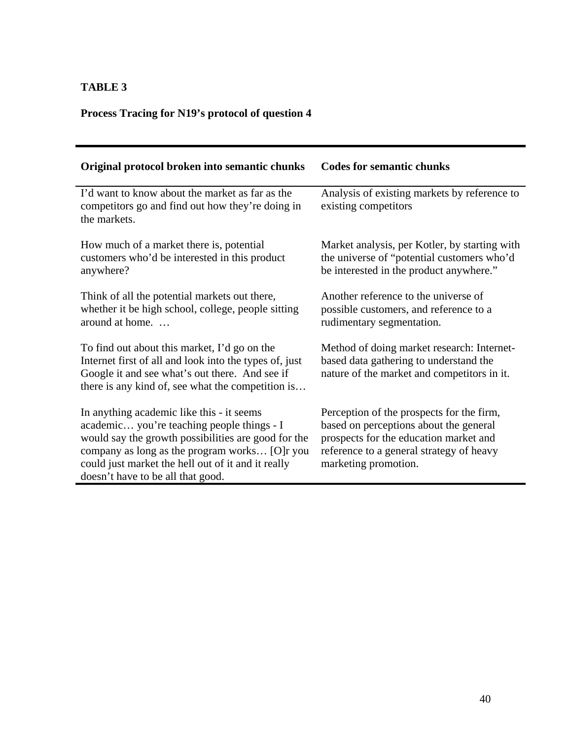## **TABLE 3**

## **Process Tracing for N19's protocol of question 4**

| Original protocol broken into semantic chunks                                                                                                                                                                                                                                              | <b>Codes for semantic chunks</b>                                                                                                                                                                  |
|--------------------------------------------------------------------------------------------------------------------------------------------------------------------------------------------------------------------------------------------------------------------------------------------|---------------------------------------------------------------------------------------------------------------------------------------------------------------------------------------------------|
| I'd want to know about the market as far as the<br>competitors go and find out how they're doing in<br>the markets.                                                                                                                                                                        | Analysis of existing markets by reference to<br>existing competitors                                                                                                                              |
| How much of a market there is, potential<br>customers who'd be interested in this product<br>anywhere?                                                                                                                                                                                     | Market analysis, per Kotler, by starting with<br>the universe of "potential customers who'd<br>be interested in the product anywhere."                                                            |
| Think of all the potential markets out there,<br>whether it be high school, college, people sitting<br>around at home.                                                                                                                                                                     | Another reference to the universe of<br>possible customers, and reference to a<br>rudimentary segmentation.                                                                                       |
| To find out about this market, I'd go on the<br>Internet first of all and look into the types of, just<br>Google it and see what's out there. And see if<br>there is any kind of, see what the competition is                                                                              | Method of doing market research: Internet-<br>based data gathering to understand the<br>nature of the market and competitors in it.                                                               |
| In anything academic like this - it seems<br>academic you're teaching people things - I<br>would say the growth possibilities are good for the<br>company as long as the program works [O]r you<br>could just market the hell out of it and it really<br>doesn't have to be all that good. | Perception of the prospects for the firm,<br>based on perceptions about the general<br>prospects for the education market and<br>reference to a general strategy of heavy<br>marketing promotion. |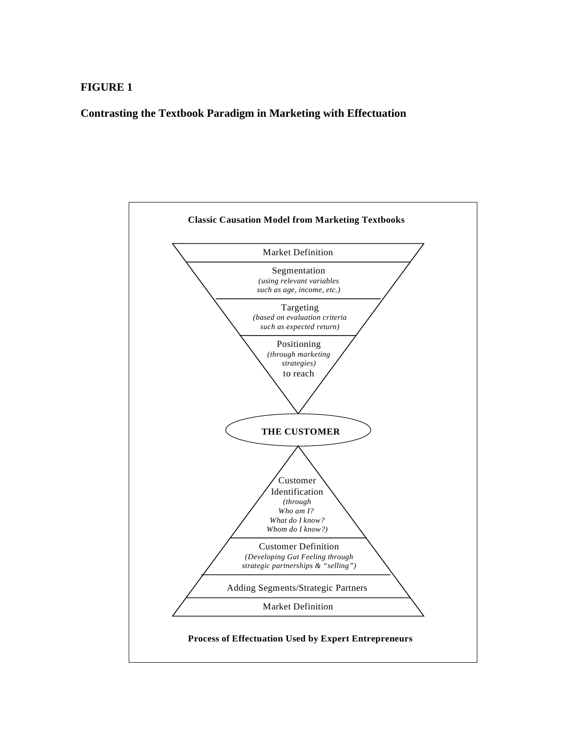## **FIGURE 1**

## **Contrasting the Textbook Paradigm in Marketing with Effectuation**

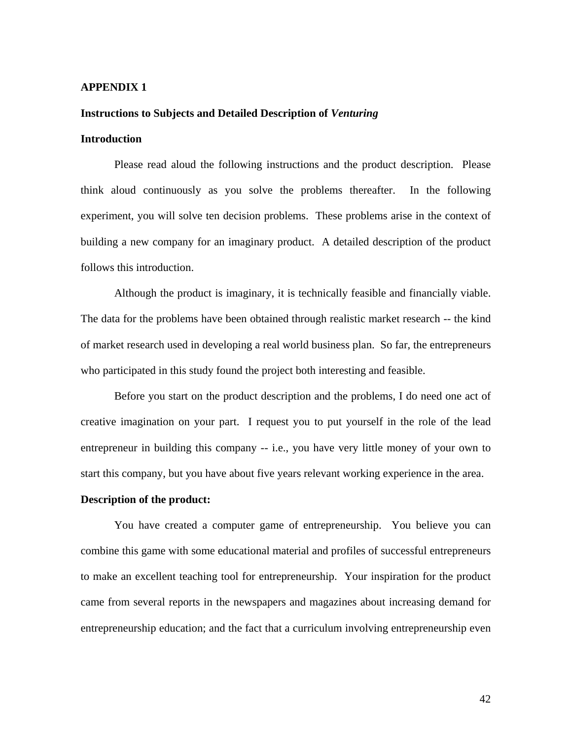### **APPENDIX 1**

#### **Instructions to Subjects and Detailed Description of** *Venturing*

#### **Introduction**

Please read aloud the following instructions and the product description. Please think aloud continuously as you solve the problems thereafter. In the following experiment, you will solve ten decision problems. These problems arise in the context of building a new company for an imaginary product. A detailed description of the product follows this introduction.

Although the product is imaginary, it is technically feasible and financially viable. The data for the problems have been obtained through realistic market research -- the kind of market research used in developing a real world business plan. So far, the entrepreneurs who participated in this study found the project both interesting and feasible.

Before you start on the product description and the problems, I do need one act of creative imagination on your part. I request you to put yourself in the role of the lead entrepreneur in building this company -- i.e., you have very little money of your own to start this company, but you have about five years relevant working experience in the area.

#### **Description of the product:**

You have created a computer game of entrepreneurship. You believe you can combine this game with some educational material and profiles of successful entrepreneurs to make an excellent teaching tool for entrepreneurship. Your inspiration for the product came from several reports in the newspapers and magazines about increasing demand for entrepreneurship education; and the fact that a curriculum involving entrepreneurship even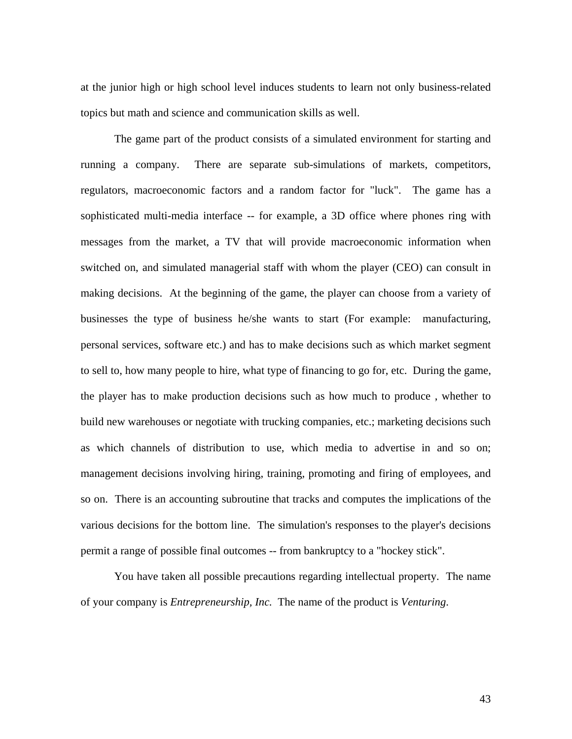at the junior high or high school level induces students to learn not only business-related topics but math and science and communication skills as well.

The game part of the product consists of a simulated environment for starting and running a company. There are separate sub-simulations of markets, competitors, regulators, macroeconomic factors and a random factor for "luck". The game has a sophisticated multi-media interface -- for example, a 3D office where phones ring with messages from the market, a TV that will provide macroeconomic information when switched on, and simulated managerial staff with whom the player (CEO) can consult in making decisions. At the beginning of the game, the player can choose from a variety of businesses the type of business he/she wants to start (For example: manufacturing, personal services, software etc.) and has to make decisions such as which market segment to sell to, how many people to hire, what type of financing to go for, etc. During the game, the player has to make production decisions such as how much to produce , whether to build new warehouses or negotiate with trucking companies, etc.; marketing decisions such as which channels of distribution to use, which media to advertise in and so on; management decisions involving hiring, training, promoting and firing of employees, and so on. There is an accounting subroutine that tracks and computes the implications of the various decisions for the bottom line. The simulation's responses to the player's decisions permit a range of possible final outcomes -- from bankruptcy to a "hockey stick".

You have taken all possible precautions regarding intellectual property. The name of your company is *Entrepreneurship, Inc.* The name of the product is *Venturing*.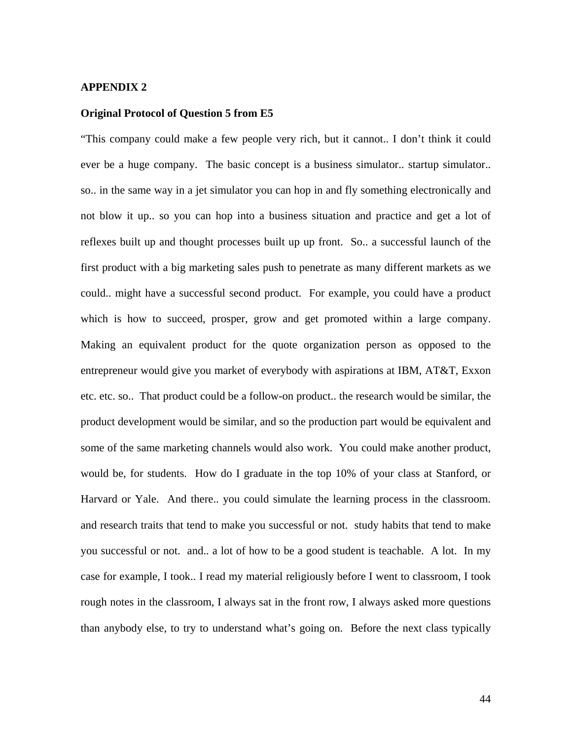### **APPENDIX 2**

#### **Original Protocol of Question 5 from E5**

"This company could make a few people very rich, but it cannot.. I don't think it could ever be a huge company. The basic concept is a business simulator.. startup simulator.. so.. in the same way in a jet simulator you can hop in and fly something electronically and not blow it up.. so you can hop into a business situation and practice and get a lot of reflexes built up and thought processes built up up front. So.. a successful launch of the first product with a big marketing sales push to penetrate as many different markets as we could.. might have a successful second product. For example, you could have a product which is how to succeed, prosper, grow and get promoted within a large company. Making an equivalent product for the quote organization person as opposed to the entrepreneur would give you market of everybody with aspirations at IBM, AT&T, Exxon etc. etc. so.. That product could be a follow-on product.. the research would be similar, the product development would be similar, and so the production part would be equivalent and some of the same marketing channels would also work. You could make another product, would be, for students. How do I graduate in the top 10% of your class at Stanford, or Harvard or Yale. And there.. you could simulate the learning process in the classroom. and research traits that tend to make you successful or not. study habits that tend to make you successful or not. and.. a lot of how to be a good student is teachable. A lot. In my case for example, I took.. I read my material religiously before I went to classroom, I took rough notes in the classroom, I always sat in the front row, I always asked more questions than anybody else, to try to understand what's going on. Before the next class typically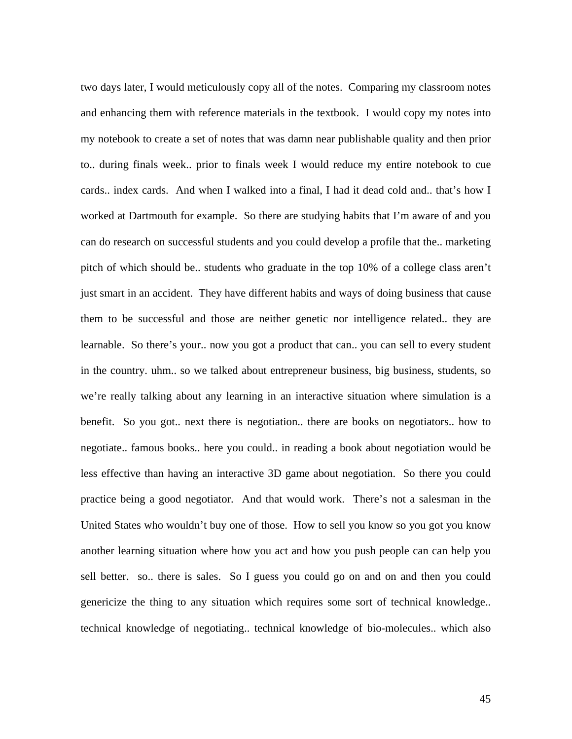two days later, I would meticulously copy all of the notes. Comparing my classroom notes and enhancing them with reference materials in the textbook. I would copy my notes into my notebook to create a set of notes that was damn near publishable quality and then prior to.. during finals week.. prior to finals week I would reduce my entire notebook to cue cards.. index cards. And when I walked into a final, I had it dead cold and.. that's how I worked at Dartmouth for example. So there are studying habits that I'm aware of and you can do research on successful students and you could develop a profile that the.. marketing pitch of which should be.. students who graduate in the top 10% of a college class aren't just smart in an accident. They have different habits and ways of doing business that cause them to be successful and those are neither genetic nor intelligence related.. they are learnable. So there's your.. now you got a product that can.. you can sell to every student in the country. uhm.. so we talked about entrepreneur business, big business, students, so we're really talking about any learning in an interactive situation where simulation is a benefit. So you got.. next there is negotiation.. there are books on negotiators.. how to negotiate.. famous books.. here you could.. in reading a book about negotiation would be less effective than having an interactive 3D game about negotiation. So there you could practice being a good negotiator. And that would work. There's not a salesman in the United States who wouldn't buy one of those. How to sell you know so you got you know another learning situation where how you act and how you push people can can help you sell better. so.. there is sales. So I guess you could go on and on and then you could genericize the thing to any situation which requires some sort of technical knowledge.. technical knowledge of negotiating.. technical knowledge of bio-molecules.. which also